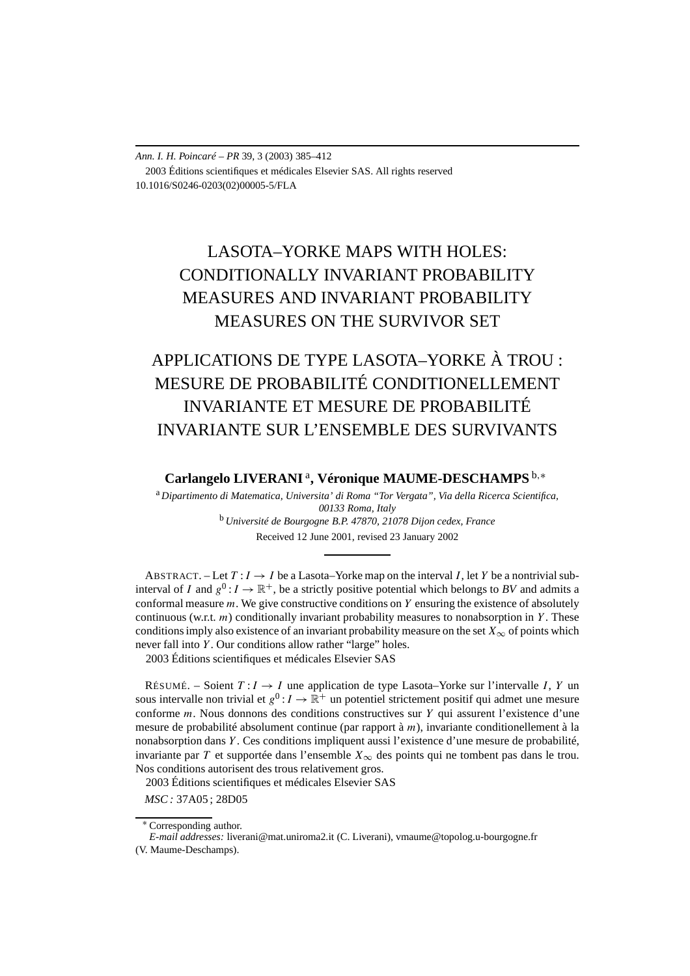*Ann. I. H. Poincaré – PR* 39, 3 (2003) 385–412 2003 Éditions scientifiques et médicales Elsevier SAS. All rights reserved 10.1016/S0246-0203(02)00005-5/FLA

# LASOTA–YORKE MAPS WITH HOLES: CONDITIONALLY INVARIANT PROBABILITY MEASURES AND INVARIANT PROBABILITY MEASURES ON THE SURVIVOR SET

# APPLICATIONS DE TYPE LASOTA–YORKE À TROU : MESURE DE PROBABILITÉ CONDITIONELLEMENT INVARIANTE ET MESURE DE PROBABILITÉ INVARIANTE SUR L'ENSEMBLE DES SURVIVANTS

**Carlangelo LIVERANI** <sup>a</sup>**, Véronique MAUME-DESCHAMPS** <sup>b</sup>*,*<sup>∗</sup>

<sup>a</sup> *Dipartimento di Matematica, Universita' di Roma "Tor Vergata", Via della Ricerca Scientifica, 00133 Roma, Italy* <sup>b</sup> *Université de Bourgogne B.P. 47870, 21078 Dijon cedex, France* Received 12 June 2001, revised 23 January 2002

ABSTRACT. – Let  $T: I \rightarrow I$  be a Lasota–Yorke map on the interval *I*, let *Y* be a nontrivial subinterval of *I* and  $g^0: I \to \mathbb{R}^+$ , be a strictly positive potential which belongs to BV and admits a conformal measure *m*. We give constructive conditions on *Y* ensuring the existence of absolutely continuous (w.r.t. *m*) conditionally invariant probability measures to nonabsorption in *Y* . These conditions imply also existence of an invariant probability measure on the set  $X_{\infty}$  of points which never fall into *Y* . Our conditions allow rather "large" holes. 2003 Éditions scientifiques et médicales Elsevier SAS

RÉSUMÉ. – Soient  $T: I \rightarrow I$  une application de type Lasota–Yorke sur l'intervalle *I*, *Y* un sous intervalle non trivial et  $g^0: I \to \mathbb{R}^+$  un potentiel strictement positif qui admet une mesure conforme *m*. Nous donnons des conditions constructives sur *Y* qui assurent l'existence d'une mesure de probabilité absolument continue (par rapport à *m*), invariante conditionellement à la nonabsorption dans *Y* . Ces conditions impliquent aussi l'existence d'une mesure de probabilité, invariante par *T* et supportée dans l'ensemble *X*∞ des points qui ne tombent pas dans le trou. Nos conditions autorisent des trous relativement gros.

2003 Éditions scientifiques et médicales Elsevier SAS

*MSC :* 37A05 ; 28D05

<sup>∗</sup> Corresponding author.

*E-mail addresses:* liverani@mat.uniroma2.it (C. Liverani), vmaume@topolog.u-bourgogne.fr (V. Maume-Deschamps).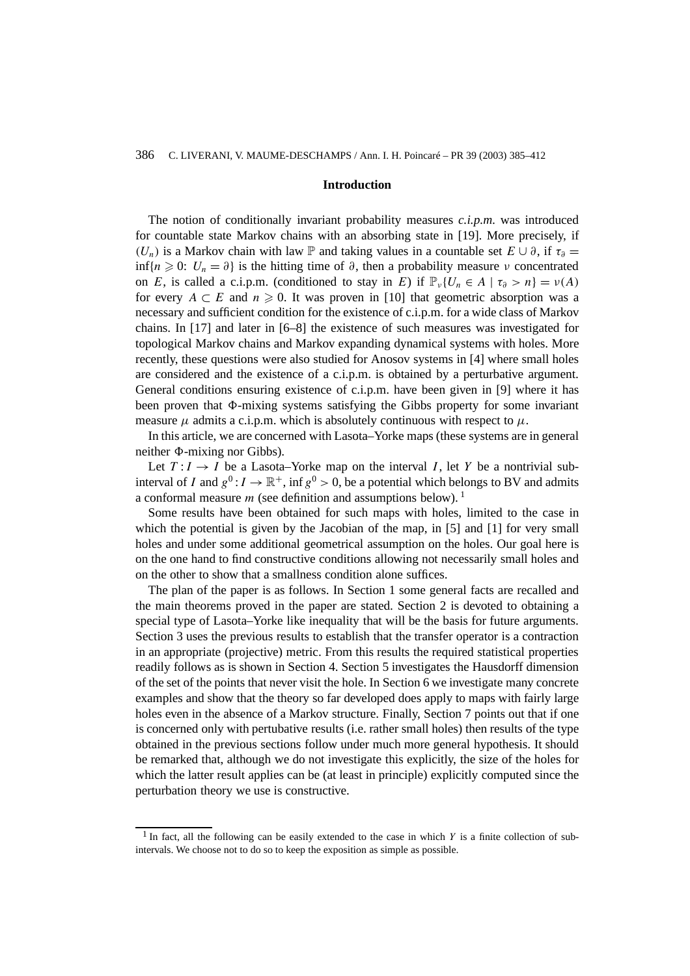#### **Introduction**

The notion of conditionally invariant probability measures *c.i.p.m.* was introduced for countable state Markov chains with an absorbing state in [19]. More precisely, if *(U<sub>n</sub>)* is a Markov chain with law  $\mathbb P$  and taking values in a countable set  $E \cup \partial$ , if  $\tau_{\partial} =$ inf{ $n \geq 0$ :  $U_n = \partial$ } is the hitting time of  $\partial$ , then a probability measure  $\nu$  concentrated on *E*, is called a c.i.p.m. (conditioned to stay in *E*) if  $\mathbb{P}_{\nu} \{ U_n \in A \mid \tau_{\partial} > n \} = \nu(A)$ for every  $A \subset E$  and  $n \ge 0$ . It was proven in [10] that geometric absorption was a necessary and sufficient condition for the existence of c.i.p.m. for a wide class of Markov chains. In [17] and later in [6–8] the existence of such measures was investigated for topological Markov chains and Markov expanding dynamical systems with holes. More recently, these questions were also studied for Anosov systems in [4] where small holes are considered and the existence of a c.i.p.m. is obtained by a perturbative argument. General conditions ensuring existence of c.i.p.m. have been given in [9] where it has been proven that  $\Phi$ -mixing systems satisfying the Gibbs property for some invariant measure  $\mu$  admits a c.i.p.m. which is absolutely continuous with respect to  $\mu$ .

In this article, we are concerned with Lasota–Yorke maps (these systems are in general neither  $\Phi$ -mixing nor Gibbs).

Let  $T: I \rightarrow I$  be a Lasota–Yorke map on the interval *I*, let *Y* be a nontrivial subinterval of *I* and  $g^0: I \to \mathbb{R}^+$ , inf  $g^0 > 0$ , be a potential which belongs to BV and admits a conformal measure  $m$  (see definition and assumptions below).<sup>1</sup>

Some results have been obtained for such maps with holes, limited to the case in which the potential is given by the Jacobian of the map, in [5] and [1] for very small holes and under some additional geometrical assumption on the holes. Our goal here is on the one hand to find constructive conditions allowing not necessarily small holes and on the other to show that a smallness condition alone suffices.

The plan of the paper is as follows. In Section 1 some general facts are recalled and the main theorems proved in the paper are stated. Section 2 is devoted to obtaining a special type of Lasota–Yorke like inequality that will be the basis for future arguments. Section 3 uses the previous results to establish that the transfer operator is a contraction in an appropriate (projective) metric. From this results the required statistical properties readily follows as is shown in Section 4. Section 5 investigates the Hausdorff dimension of the set of the points that never visit the hole. In Section 6 we investigate many concrete examples and show that the theory so far developed does apply to maps with fairly large holes even in the absence of a Markov structure. Finally, Section 7 points out that if one is concerned only with pertubative results (i.e. rather small holes) then results of the type obtained in the previous sections follow under much more general hypothesis. It should be remarked that, although we do not investigate this explicitly, the size of the holes for which the latter result applies can be (at least in principle) explicitly computed since the perturbation theory we use is constructive.

<sup>&</sup>lt;sup>1</sup> In fact, all the following can be easily extended to the case in which *Y* is a finite collection of subintervals. We choose not to do so to keep the exposition as simple as possible.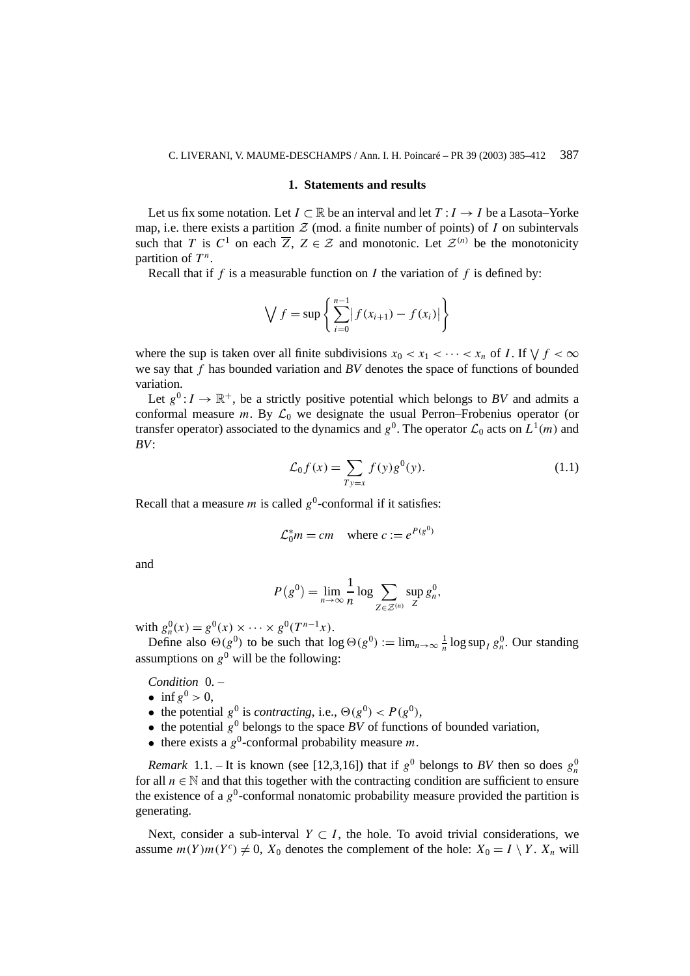#### **1. Statements and results**

Let us fix some notation. Let  $I \subset \mathbb{R}$  be an interval and let  $T : I \to I$  be a Lasota–Yorke map, i.e. there exists a partition  $Z$  (mod. a finite number of points) of *I* on subintervals such that *T* is  $C^1$  on each  $\overline{Z}$ ,  $Z \in \mathcal{Z}$  and monotonic. Let  $\mathcal{Z}^{(n)}$  be the monotonicity partition of  $T^n$ .

Recall that if *f* is a measurable function on *I* the variation of *f* is defined by:

$$
\bigvee f = \sup \left\{ \sum_{i=0}^{n-1} |f(x_{i+1}) - f(x_i)| \right\}
$$

where the sup is taken over all finite subdivisions  $x_0 < x_1 < \cdots < x_n$  of *I*. If  $\forall f < \infty$ we say that *f* has bounded variation and *BV* denotes the space of functions of bounded variation.

Let  $g^0: I \to \mathbb{R}^+$ , be a strictly positive potential which belongs to *BV* and admits a conformal measure *m*. By  $\mathcal{L}_0$  we designate the usual Perron–Frobenius operator (or transfer operator) associated to the dynamics and  $g^0$ . The operator  $\mathcal{L}_0$  acts on  $L^1(m)$  and *BV*:

$$
\mathcal{L}_0 f(x) = \sum_{T y = x} f(y) g^0(y). \tag{1.1}
$$

Recall that a measure *m* is called  $g^0$ -conformal if it satisfies:

$$
\mathcal{L}_0^* m = cm \quad \text{where } c := e^{P(g^0)}
$$

and

$$
P(g^{0}) = \lim_{n \to \infty} \frac{1}{n} \log \sum_{Z \in \mathcal{Z}^{(n)}} \sup_{Z} g_{n}^{0},
$$

with  $g_n^0(x) = g^0(x) \times \cdots \times g^0(T^{n-1}x)$ .

Define also  $\Theta(g^0)$  to be such that  $\log \Theta(g^0) := \lim_{n \to \infty} \frac{1}{n} \log \sup_l g_n^0$ . Our standing assumptions on  $g^0$  will be the following:

*Condition* 0. –

- inf  $g^0 > 0$ ,
- the potential  $g^0$  is *contracting*, i.e.,  $\Theta(g^0) < P(g^0)$ ,
- the potential  $g^0$  belongs to the space *BV* of functions of bounded variation,
- there exists a  $g^0$ -conformal probability measure *m*.

*Remark* 1.1. – It is known (see [12,3,16]) that if  $g^0$  belongs to *BV* then so does  $g_n^0$ for all  $n \in \mathbb{N}$  and that this together with the contracting condition are sufficient to ensure the existence of a  $g^0$ -conformal nonatomic probability measure provided the partition is generating.

Next, consider a sub-interval  $Y \subset I$ , the hole. To avoid trivial considerations, we assume  $m(Y)m(Y^c) \neq 0$ ,  $X_0$  denotes the complement of the hole:  $X_0 = I \setminus Y$ .  $X_n$  will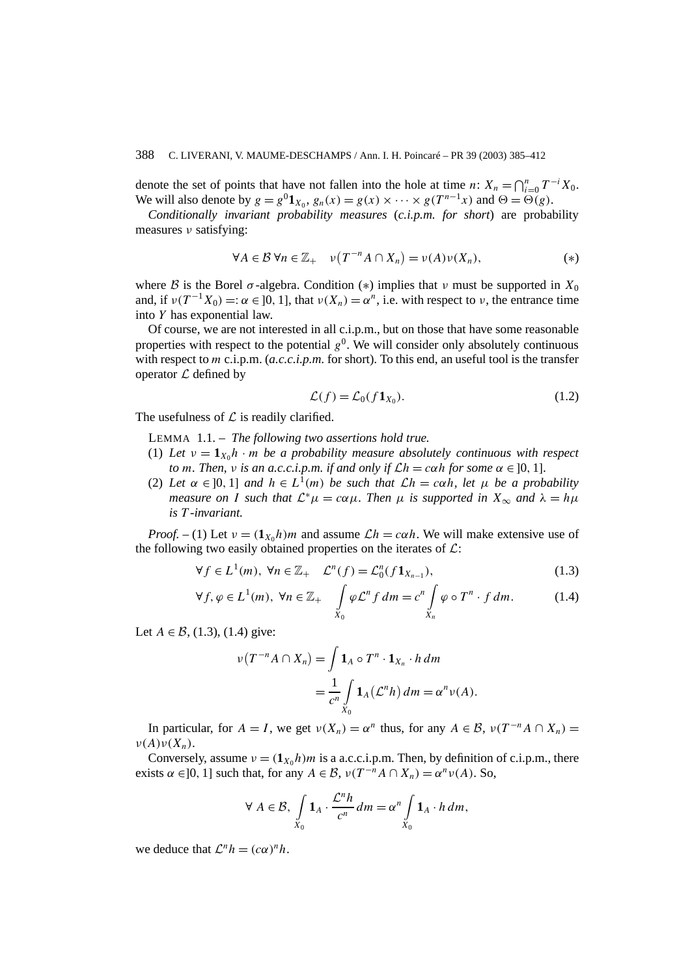denote the set of points that have not fallen into the hole at time *n*:  $X_n = \bigcap_{i=0}^n T^{-i}X_0$ . We will also denote by  $g = g^0 \mathbf{1}_{X_0}$ ,  $g_n(x) = g(x) \times \cdots \times g(T^{n-1}x)$  and  $\Theta = \Theta(g)$ .

*Conditionally invariant probability measures* (*c.i.p.m. for short*) are probability measures *ν* satisfying:

$$
\forall A \in \mathcal{B} \,\forall n \in \mathbb{Z}_+ \quad \nu(T^{-n}A \cap X_n) = \nu(A)\nu(X_n), \tag{*}
$$

where B is the Borel  $\sigma$ -algebra. Condition (\*) implies that  $\nu$  must be supported in  $X_0$ and, if  $\nu(T^{-1}X_0) =: \alpha \in [0, 1]$ , that  $\nu(X_n) = \alpha^n$ , i.e. with respect to  $\nu$ , the entrance time into *Y* has exponential law.

Of course, we are not interested in all c.i.p.m., but on those that have some reasonable properties with respect to the potential  $g^0$ . We will consider only absolutely continuous with respect to *m* c.i.p.m. (*a.c.c.i.p.m.* for short). To this end, an useful tool is the transfer operator  $\mathcal L$  defined by

$$
\mathcal{L}(f) = \mathcal{L}_0(f \mathbf{1}_{X_0}).\tag{1.2}
$$

The usefulness of  $\mathcal L$  is readily clarified.

LEMMA 1.1. – *The following two assertions hold true.*

- (1) Let  $v = \mathbf{1}_{X_0} h \cdot m$  be a probability measure absolutely continuous with respect *to m. Then, v is an a.c.c.i.p.m. if and only if*  $\mathcal{L}h = c \alpha h$  *for some*  $\alpha \in [0, 1]$ *.*
- (2) *Let*  $\alpha \in [0, 1]$  *and*  $h \in L^1(m)$  *be such that*  $\mathcal{L}h = c\alpha h$ *, let*  $\mu$  *be a probability measure on I such that*  $\mathcal{L}^*\mu = c\alpha\mu$ *. Then*  $\mu$  *is supported in*  $X_\infty$  *and*  $\lambda = h\mu$ *is T -invariant.*

*Proof.* – (1) Let  $v = (1_{X_0}h)m$  and assume  $\mathcal{L}h = c\alpha h$ . We will make extensive use of the following two easily obtained properties on the iterates of  $\mathcal{L}$ :

$$
\forall f \in L^{1}(m), \ \forall n \in \mathbb{Z}_{+} \quad \mathcal{L}^{n}(f) = \mathcal{L}_{0}^{n}(f \mathbf{1}_{X_{n-1}}), \tag{1.3}
$$

$$
\forall f, \varphi \in L^{1}(m), \ \forall n \in \mathbb{Z}_{+} \quad \int\limits_{X_{0}} \varphi \mathcal{L}^{n} f \, dm = c^{n} \int\limits_{X_{n}} \varphi \circ T^{n} \cdot f \, dm. \tag{1.4}
$$

Let  $A \in \mathcal{B}$ , (1.3), (1.4) give:

$$
\nu(T^{-n}A \cap X_n) = \int \mathbf{1}_A \circ T^n \cdot \mathbf{1}_{X_n} \cdot h \, dm
$$
  
= 
$$
\frac{1}{c^n} \int_{X_0} \mathbf{1}_A (\mathcal{L}^n h) \, dm = \alpha^n \nu(A).
$$

In particular, for  $A = I$ , we get  $v(X_n) = \alpha^n$  thus, for any  $A \in \mathcal{B}$ ,  $v(T^{-n}A \cap X_n) =$  $ν(A)ν(X_n)$ .

Conversely, assume  $v = (1_{X_0}h)m$  is a a.c.c.i.p.m. Then, by definition of c.i.p.m., there exists  $\alpha \in ]0, 1]$  such that, for any  $A \in \mathcal{B}$ ,  $\nu(T^{-n}A \cap X_n) = \alpha^n \nu(A)$ . So,

$$
\forall A \in \mathcal{B}, \int_{X_0} \mathbf{1}_A \cdot \frac{\mathcal{L}^n h}{c^n} dm = \alpha^n \int_{X_0} \mathbf{1}_A \cdot h dm,
$$

we deduce that  $\mathcal{L}^n h = (c\alpha)^n h$ .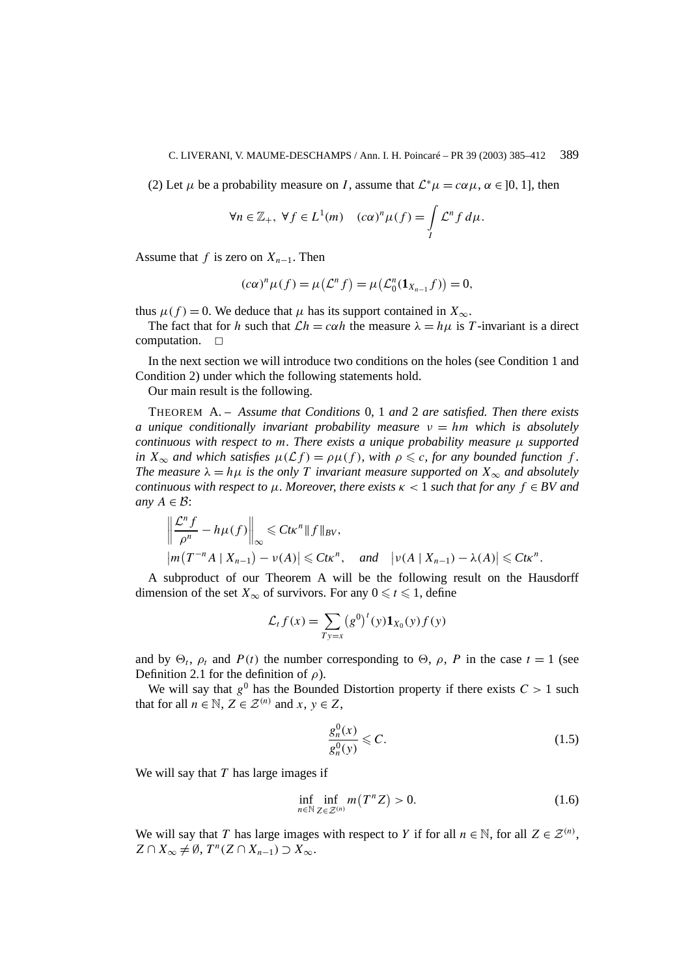(2) Let  $\mu$  be a probability measure on *I*, assume that  $\mathcal{L}^*\mu = c\alpha\mu$ ,  $\alpha \in [0, 1]$ , then

$$
\forall n \in \mathbb{Z}_+, \ \forall f \in L^1(m) \quad (c\alpha)^n \mu(f) = \int\limits_I \mathcal{L}^n f \, d\mu.
$$

Assume that *f* is zero on  $X_{n-1}$ . Then

$$
(c\alpha)^n \mu(f) = \mu(\mathcal{L}^n f) = \mu(\mathcal{L}^n_0(\mathbf{1}_{X_{n-1}} f)) = 0,
$$

thus  $\mu(f) = 0$ . We deduce that  $\mu$  has its support contained in  $X_{\infty}$ .

The fact that for *h* such that  $\mathcal{L}h = c\alpha h$  the measure  $\lambda = h\mu$  is *T*-invariant is a direct moutation. computation. ✷

In the next section we will introduce two conditions on the holes (see Condition 1 and Condition 2) under which the following statements hold.

Our main result is the following.

THEOREM A. – *Assume that Conditions* 0*,* 1 *and* 2 *are satisfied. Then there exists a unique conditionally invariant probability measure ν* = *hm which is absolutely continuous with respect to m. There exists a unique probability measure µ supported in*  $X_{\infty}$  *and which satisfies*  $\mu(\mathcal{L}f) = \rho\mu(f)$ *, with*  $\rho \leq c$ *, for any bounded function*  $f$ *. The measure*  $\lambda = h\mu$  *is the only T invariant measure supported on*  $X_{\infty}$  *and absolutely continuous with respect to*  $\mu$ *. Moreover, there exists*  $\kappa$  < 1 *such that for any*  $f \in BV$  *and any*  $A \in \mathcal{B}$ :

$$
\left\|\frac{\mathcal{L}^n f}{\rho^n} - h\mu(f)\right\|_{\infty} \leq C t\kappa^n \|f\|_{BV},
$$
  
\n
$$
|m(T^{-n}A \mid X_{n-1}) - \nu(A)| \leq C t\kappa^n, \quad \text{and} \quad |\nu(A \mid X_{n-1}) - \lambda(A)| \leq C t\kappa^n.
$$

A subproduct of our Theorem A will be the following result on the Hausdorff dimension of the set  $X_{\infty}$  of survivors. For any  $0 \leq t \leq 1$ , define

$$
\mathcal{L}_t f(x) = \sum_{Ty=x} (g^0)^t (y) \mathbf{1}_{X_0}(y) f(y)
$$

and by  $\Theta_t$ ,  $\rho_t$  and  $P(t)$  the number corresponding to  $\Theta$ ,  $\rho$ ,  $P$  in the case  $t = 1$  (see Definition 2.1 for the definition of *ρ*).

We will say that  $g^0$  has the Bounded Distortion property if there exists  $C > 1$  such that for all  $n \in \mathbb{N}$ ,  $Z \in \mathcal{Z}^{(n)}$  and  $x, y \in Z$ ,

$$
\frac{g_n^0(x)}{g_n^0(y)} \leqslant C. \tag{1.5}
$$

We will say that *T* has large images if

$$
\inf_{n \in \mathbb{N}} \inf_{Z \in \mathcal{Z}^{(n)}} m(T^n Z) > 0. \tag{1.6}
$$

We will say that *T* has large images with respect to *Y* if for all  $n \in \mathbb{N}$ , for all  $Z \in \mathcal{Z}^{(n)}$ ,  $Z \cap X_\infty \neq \emptyset$ ,  $T^n(Z \cap X_{n-1}) \supset X_\infty$ .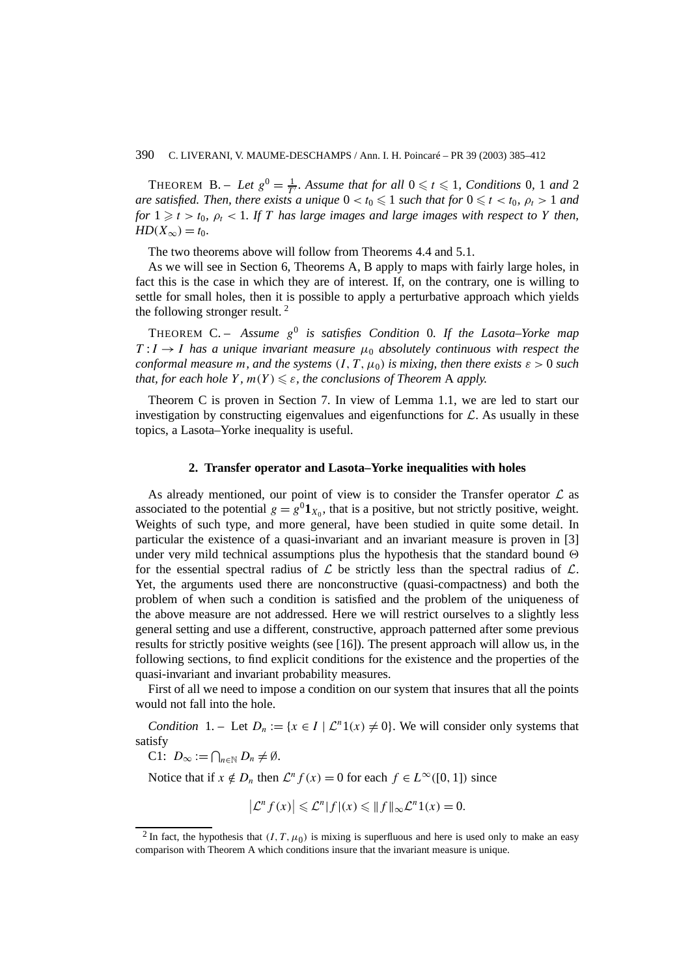THEOREM B. – Let  $g^0 = \frac{1}{T'}$ . Assume that for all  $0 \le t \le 1$ , Conditions 0, 1 and 2 *are satisfied. Then, there exists a unique*  $0 < t_0 \leqslant 1$  *such that for*  $0 \leqslant t < t_0$ *,*  $\rho_t > 1$  *and for*  $1 \ge t > t_0$ ,  $\rho_t < 1$ . If *T* has large images and large images with respect to *Y* then, *HD*( $X_{\infty}$ ) = *t*<sub>0</sub>*.* 

The two theorems above will follow from Theorems 4.4 and 5.1.

As we will see in Section 6, Theorems A, B apply to maps with fairly large holes, in fact this is the case in which they are of interest. If, on the contrary, one is willing to settle for small holes, then it is possible to apply a perturbative approach which yields the following stronger result. <sup>2</sup>

THEOREM C. – Assume  $g^0$  is satisfies Condition 0. If the Lasota–Yorke map  $T: I \rightarrow I$  *has a unique invariant measure*  $\mu_0$  *absolutely continuous with respect the conformal measure m, and the systems*  $(I, T, \mu_0)$  *is mixing, then there exists*  $\varepsilon > 0$  *such that, for each hole*  $Y$ *,*  $m(Y) \leq \varepsilon$ *, the conclusions of Theorem A apply.* 

Theorem C is proven in Section 7. In view of Lemma 1.1, we are led to start our investigation by constructing eigenvalues and eigenfunctions for  $\mathcal{L}$ . As usually in these topics, a Lasota–Yorke inequality is useful.

#### **2. Transfer operator and Lasota–Yorke inequalities with holes**

As already mentioned, our point of view is to consider the Transfer operator  $\mathcal L$  as associated to the potential  $g = g^{0} \mathbf{1}_{X_0}$ , that is a positive, but not strictly positive, weight. Weights of such type, and more general, have been studied in quite some detail. In particular the existence of a quasi-invariant and an invariant measure is proven in [3] under very mild technical assumptions plus the hypothesis that the standard bound  $\Theta$ for the essential spectral radius of  $\mathcal L$  be strictly less than the spectral radius of  $\mathcal L$ . Yet, the arguments used there are nonconstructive (quasi-compactness) and both the problem of when such a condition is satisfied and the problem of the uniqueness of the above measure are not addressed. Here we will restrict ourselves to a slightly less general setting and use a different, constructive, approach patterned after some previous results for strictly positive weights (see [16]). The present approach will allow us, in the following sections, to find explicit conditions for the existence and the properties of the quasi-invariant and invariant probability measures.

First of all we need to impose a condition on our system that insures that all the points would not fall into the hole.

*Condition* 1. – Let  $D_n := \{x \in I \mid L^n 1(x) \neq 0\}$ . We will consider only systems that satisfy

C1:  $D_{\infty} := \bigcap_{n \in \mathbb{N}} D_n \neq \emptyset$ .

Notice that if  $x \notin D_n$  then  $\mathcal{L}^n f(x) = 0$  for each  $f \in L^\infty([0, 1])$  since

$$
\left|\mathcal{L}^n f(x)\right| \leqslant \mathcal{L}^n |f|(x) \leqslant \|f\|_{\infty} \mathcal{L}^n 1(x) = 0.
$$

<sup>&</sup>lt;sup>2</sup> In fact, the hypothesis that  $(I, T, \mu_0)$  is mixing is superfluous and here is used only to make an easy comparison with Theorem A which conditions insure that the invariant measure is unique.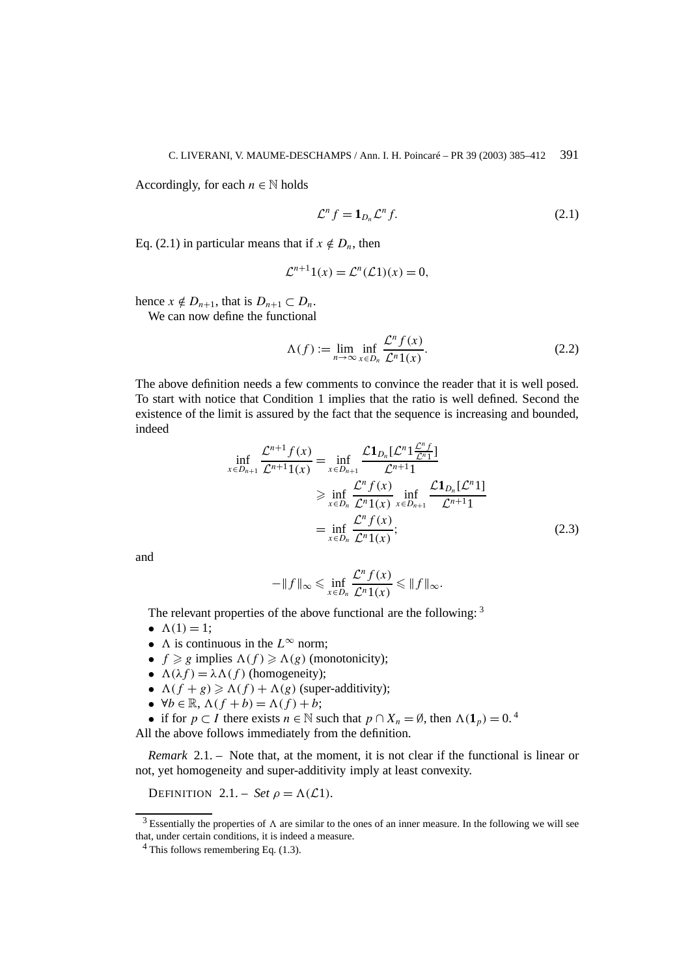Accordingly, for each  $n \in \mathbb{N}$  holds

$$
\mathcal{L}^n f = \mathbf{1}_{D_n} \mathcal{L}^n f. \tag{2.1}
$$

Eq. (2.1) in particular means that if  $x \notin D_n$ , then

$$
\mathcal{L}^{n+1}1(x) = \mathcal{L}^n(\mathcal{L}1)(x) = 0,
$$

hence  $x \notin D_{n+1}$ , that is  $D_{n+1} \subset D_n$ .

We can now define the functional

$$
\Lambda(f) := \lim_{n \to \infty} \inf_{x \in D_n} \frac{\mathcal{L}^n f(x)}{\mathcal{L}^n 1(x)}.
$$
\n(2.2)

The above definition needs a few comments to convince the reader that it is well posed. To start with notice that Condition 1 implies that the ratio is well defined. Second the existence of the limit is assured by the fact that the sequence is increasing and bounded, indeed

$$
\inf_{x \in D_{n+1}} \frac{\mathcal{L}^{n+1} f(x)}{\mathcal{L}^{n+1} 1(x)} = \inf_{x \in D_{n+1}} \frac{\mathcal{L} \mathbf{1}_{D_n} [\mathcal{L}^n 1_{\overline{\mathcal{L}}^n 1}^{\overline{\mathcal{L}}^n}]}{\mathcal{L}^{n+1} 1}
$$
\n
$$
\geq \inf_{x \in D_n} \frac{\mathcal{L}^n f(x)}{\mathcal{L}^n 1(x)} \inf_{x \in D_{n+1}} \frac{\mathcal{L} \mathbf{1}_{D_n} [\mathcal{L}^n 1]}{\mathcal{L}^{n+1} 1}
$$
\n
$$
= \inf_{x \in D_n} \frac{\mathcal{L}^n f(x)}{\mathcal{L}^n 1(x)};
$$
\n(2.3)

and

$$
-\|f\|_{\infty} \leqslant \inf_{x \in D_n} \frac{\mathcal{L}^n f(x)}{\mathcal{L}^n 1(x)} \leqslant \|f\|_{\infty}.
$$

The relevant properties of the above functional are the following: <sup>3</sup>

•  $\Lambda(1) = 1$ ;

- $\Lambda$  is continuous in the  $L^{\infty}$  norm;
- $f \ge g$  implies  $\Lambda(f) \ge \Lambda(g)$  (monotonicity);
- $\Lambda(\lambda f) = \lambda \Lambda(f)$  (homogeneity);
- $\Lambda(f + g) \geq \Lambda(f) + \Lambda(g)$  (super-additivity);
- $\forall b \in \mathbb{R}, \Lambda(f + b) = \Lambda(f) + b;$
- if for  $p \subset I$  there exists  $n \in \mathbb{N}$  such that  $p \cap X_n = \emptyset$ , then  $\Lambda(1_n) = 0$ .

All the above follows immediately from the definition.

*Remark* 2.1. – Note that, at the moment, it is not clear if the functional is linear or not, yet homogeneity and super-additivity imply at least convexity.

DEFINITION 2.1. – *Set*  $\rho = \Lambda(\mathcal{L}1)$ *.* 

<sup>&</sup>lt;sup>3</sup> Essentially the properties of  $\Lambda$  are similar to the ones of an inner measure. In the following we will see that, under certain conditions, it is indeed a measure.

 $4$  This follows remembering Eq. (1.3).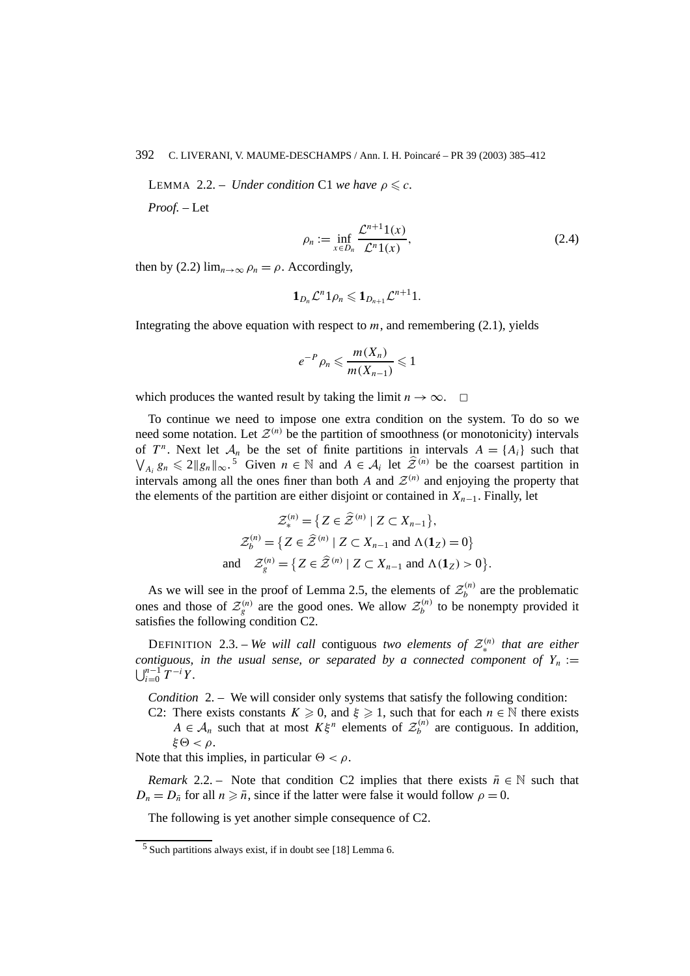**LEMMA** 2.2. – *Under condition* C1 *we have*  $\rho \leqslant c$ .

*Proof. –* Let

$$
\rho_n := \inf_{x \in D_n} \frac{\mathcal{L}^{n+1}(x)}{\mathcal{L}^n(1)}.
$$
\n(2.4)

then by (2.2)  $\lim_{n\to\infty} \rho_n = \rho$ . Accordingly,

$$
\mathbf{1}_{D_n}\mathcal{L}^n\mathbf{1}_{\rho_n}\leqslant \mathbf{1}_{D_{n+1}}\mathcal{L}^{n+1}\mathbf{1}.
$$

Integrating the above equation with respect to  $m$ , and remembering (2.1), yields

$$
e^{-P}\rho_n\leqslant \frac{m(X_n)}{m(X_{n-1})}\leqslant 1
$$

which produces the wanted result by taking the limit  $n \to \infty$ .  $\Box$ 

To continue we need to impose one extra condition on the system. To do so we need some notation. Let  $\mathcal{Z}^{(n)}$  be the partition of smoothness (or monotonicity) intervals of  $T^n$ . Next let  $\mathcal{A}_n$  be the set of finite partitions in intervals  $A = \{A_i\}$  such that  $\bigvee_{A_i} g_n \leq 2 \|g_n\|_{\infty}$ .<sup>5</sup> Given  $n \in \mathbb{N}$  and  $A \in \mathcal{A}_i$  let  $\hat{\mathcal{Z}}^{(n)}$  be the coarsest partition in intervals among all the ones finer than both *A* and  $\mathcal{Z}^{(n)}$  and enjoying the property that the elements of the partition are either disjoint or contained in  $X_{n-1}$ . Finally, let

$$
\mathcal{Z}_{*}^{(n)} = \{ Z \in \widehat{\mathcal{Z}}^{(n)} \mid Z \subset X_{n-1} \},
$$
  
\n
$$
\mathcal{Z}_{b}^{(n)} = \{ Z \in \widehat{\mathcal{Z}}^{(n)} \mid Z \subset X_{n-1} \text{ and } \Lambda(\mathbf{1}_{Z}) = 0 \}
$$
  
\nand 
$$
\mathcal{Z}_{g}^{(n)} = \{ Z \in \widehat{\mathcal{Z}}^{(n)} \mid Z \subset X_{n-1} \text{ and } \Lambda(\mathbf{1}_{Z}) > 0 \}.
$$

As we will see in the proof of Lemma 2.5, the elements of  $\mathcal{Z}_b^{(n)}$  are the problematic ones and those of  $\mathcal{Z}_g^{(n)}$  are the good ones. We allow  $\mathcal{Z}_b^{(n)}$  to be nonempty provided it satisfies the following condition C2.

DEFINITION 2.3. – *We will call* contiguous *two elements of*  $\mathcal{Z}_{*}^{(n)}$  *that are either contiguous, in the usual sense, or separated by a connected component of*  $Y_n :=$  $\bigcup_{i=0}^{n-1} T^{-i} Y$ .

*Condition* 2. – We will consider only systems that satisfy the following condition:

C2: There exists constants  $K \geq 0$ , and  $\xi \geq 1$ , such that for each  $n \in \mathbb{N}$  there exists  $A \in \mathcal{A}_n$  such that at most  $K\xi^n$  elements of  $\mathcal{Z}_b^{(n)}$  are contiguous. In addition,  $\xi \Theta < \rho$ .

Note that this implies, in particular  $\Theta < \rho$ .

*Remark* 2.2. – Note that condition C2 implies that there exists  $\bar{n} \in \mathbb{N}$  such that  $D_n = D_{\bar{n}}$  for all  $n \geq \bar{n}$ , since if the latter were false it would follow  $\rho = 0$ .

The following is yet another simple consequence of C2.

<sup>5</sup> Such partitions always exist, if in doubt see [18] Lemma 6.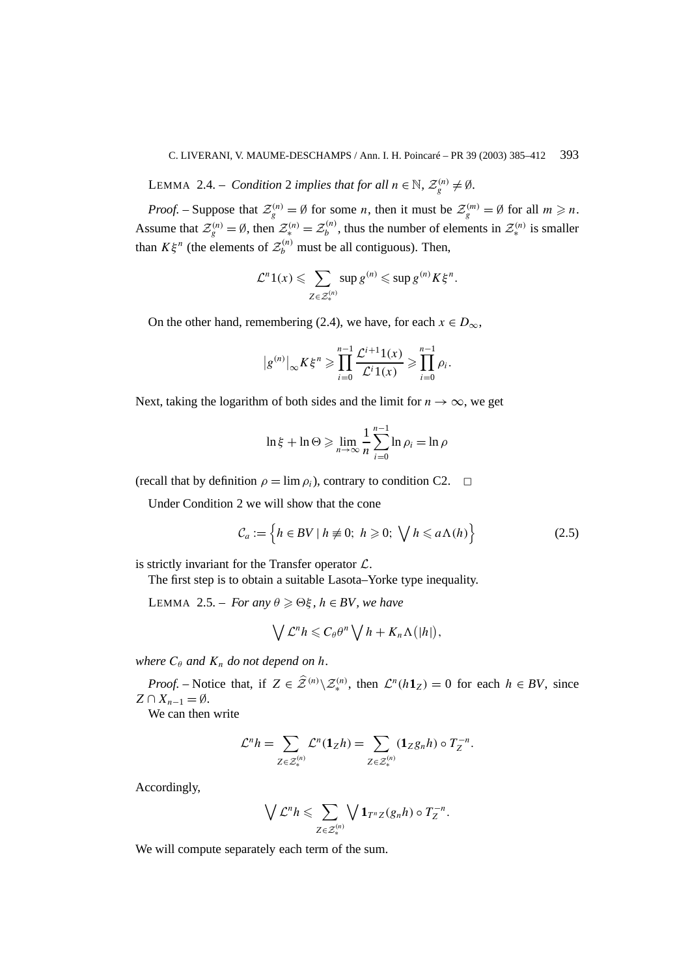LEMMA 2.4. – *Condition* 2 *implies that for all*  $n \in \mathbb{N}$ ,  $\mathcal{Z}_g^{(n)} \neq \emptyset$ .

*Proof.* – Suppose that  $\mathcal{Z}_g^{(n)} = \emptyset$  for some *n*, then it must be  $\mathcal{Z}_g^{(m)} = \emptyset$  for all  $m \ge n$ . Assume that  $\mathcal{Z}_g^{(n)} = \emptyset$ , then  $\mathcal{Z}_*^{(n)} = \mathcal{Z}_b^{(n)}$ , thus the number of elements in  $\mathcal{Z}_*^{(n)}$  is smaller than  $K\xi^n$  (the elements of  $\mathcal{Z}_b^{(n)}$  must be all contiguous). Then,

$$
\mathcal{L}^n 1(x) \leqslant \sum_{Z \in \mathcal{Z}_*^{(n)}} \sup g^{(n)} \leqslant \sup g^{(n)} K \xi^n.
$$

On the other hand, remembering (2.4), we have, for each  $x \in D_{\infty}$ ,

$$
|g^{(n)}|_{\infty} K \xi^n \geq \prod_{i=0}^{n-1} \frac{\mathcal{L}^{i+1} 1(x)}{\mathcal{L}^i 1(x)} \geq \prod_{i=0}^{n-1} \rho_i.
$$

Next, taking the logarithm of both sides and the limit for  $n \to \infty$ , we get

$$
\ln \xi + \ln \Theta \geqslant \lim_{n \to \infty} \frac{1}{n} \sum_{i=0}^{n-1} \ln \rho_i = \ln \rho
$$

(recall that by definition  $\rho = \lim \rho_i$ ), contrary to condition C2.  $\Box$ 

Under Condition 2 we will show that the cone

$$
\mathcal{C}_a := \left\{ h \in BV \mid h \neq 0; \ h \geqslant 0; \ \sqrt{h} \leqslant a \Lambda(h) \right\} \tag{2.5}
$$

is strictly invariant for the Transfer operator  $\mathcal{L}$ .

The first step is to obtain a suitable Lasota–Yorke type inequality.

LEMMA 2.5. – *For any*  $\theta \ge \Theta \xi$ ,  $h \in BV$ , we have

$$
\bigvee \mathcal{L}^n h \leqslant C_\theta \theta^n \bigvee h + K_n \Lambda(|h|),
$$

*where*  $C_\theta$  *and*  $K_n$  *do not depend on h*.

*Proof.* – Notice that, if  $Z \in \hat{\mathcal{Z}}^{(n)} \setminus \mathcal{Z}_{*}^{(n)}$ , then  $\mathcal{L}^{n}(h\mathbf{1}_Z) = 0$  for each  $h \in BV$ , since  $Z \cap X_{n-1} = \emptyset$ .

We can then write

$$
\mathcal{L}^n h = \sum_{Z \in \mathcal{Z}_{\ast}^{(n)}} \mathcal{L}^n(\mathbf{1}_Z h) = \sum_{Z \in \mathcal{Z}_{\ast}^{(n)}} (\mathbf{1}_Z g_n h) \circ T_Z^{-n}.
$$

Accordingly,

$$
\bigvee \mathcal{L}^n h \leqslant \sum_{Z \in \mathcal{Z}^{(n)}_*} \bigvee \mathbf{1}_{T^n Z}(g_n h) \circ T_Z^{-n}.
$$

We will compute separately each term of the sum.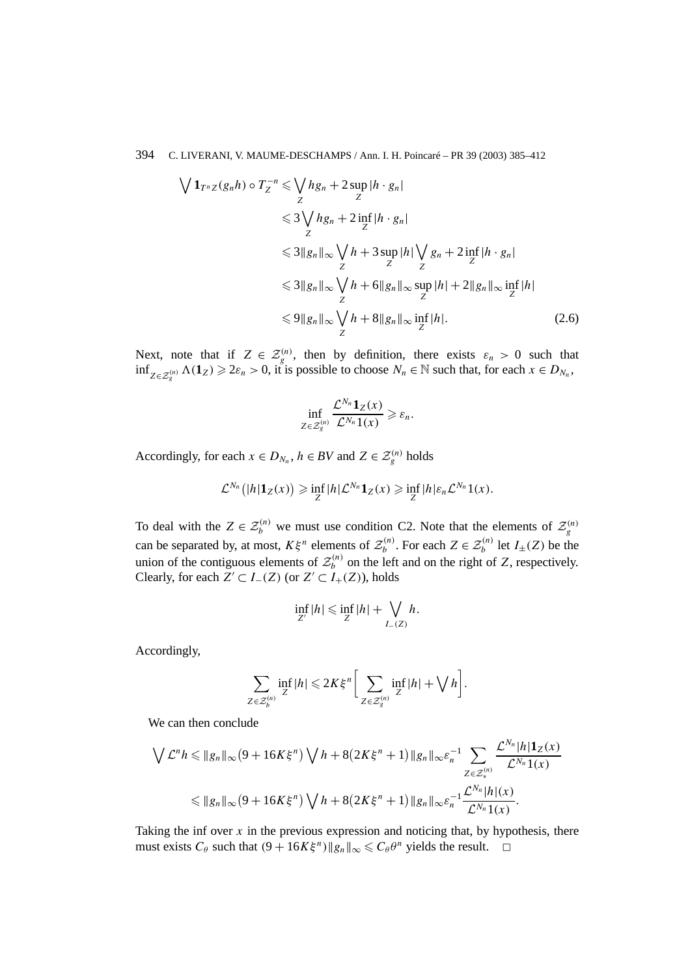$$
\sqrt{1_{T^{n}Z}(g_{n}h)} \circ T_{Z}^{-n} \leq \sqrt{hg_{n} + 2 \sup_{Z} |h \cdot g_{n}|}
$$
  
\n
$$
\leq 3 \sqrt{hg_{n} + 2 \inf_{Z} |h \cdot g_{n}|}
$$
  
\n
$$
\leq 3 \|g_{n}\|_{\infty} \sqrt{h + 3 \sup_{Z} |h|} \sqrt{g_{n} + 2 \inf_{Z} |h \cdot g_{n}|}
$$
  
\n
$$
\leq 3 \|g_{n}\|_{\infty} \sqrt{h + 6 \|g_{n}\|_{\infty} \sup_{Z} |h| + 2 \|g_{n}\|_{\infty} \inf_{Z} |h|}
$$
  
\n
$$
\leq 9 \|g_{n}\|_{\infty} \sqrt{h + 8 \|g_{n}\|_{\infty} \inf_{Z} |h|}. \qquad (2.6)
$$

Next, note that if  $Z \in \mathcal{Z}_g^{(n)}$ , then by definition, there exists  $\varepsilon_n > 0$  such that  $\inf_{Z \in \mathcal{Z}_{g}^{(n)}} \Lambda(\mathbf{1}_Z) \ge 2\varepsilon_n > 0$ , it is possible to choose *N<sub>n</sub>* ∈ N such that, for each *x* ∈ *D<sub>Nn</sub>*,

$$
\inf_{Z\in\mathcal{Z}_g^{(n)}}\frac{\mathcal{L}^{N_n} \mathbf{1}_Z(x)}{\mathcal{L}^{N_n} 1(x)} \geqslant \varepsilon_n.
$$

Accordingly, for each  $x \in D_{N_n}$ ,  $h \in BV$  and  $Z \in \mathcal{Z}_g^{(n)}$  holds

$$
\mathcal{L}^{N_n}(|h|\mathbf{1}_{Z}(x)) \geq \inf_{Z} |h|\mathcal{L}^{N_n}\mathbf{1}_{Z}(x) \geq \inf_{Z} |h|\varepsilon_n \mathcal{L}^{N_n}\mathbf{1}(x).
$$

To deal with the  $Z \in \mathcal{Z}_b^{(n)}$  we must use condition C2. Note that the elements of  $\mathcal{Z}_g^{(n)}$ can be separated by, at most,  $K\xi^n$  elements of  $\mathcal{Z}_b^{(n)}$ . For each  $Z \in \mathcal{Z}_b^{(n)}$  let  $I_{\pm}(Z)$  be the union of the contiguous elements of  $\mathcal{Z}_b^{(n)}$  on the left and on the right of *Z*, respectively. Clearly, for each *Z'* ⊂ *I*−*(Z)* (or *Z'* ⊂ *I*<sub>+</sub>(*Z)*), holds

$$
\inf_{Z'} |h| \leqslant \inf_{Z} |h| + \bigvee_{I_{-}(Z)} h.
$$

Accordingly,

$$
\sum_{Z \in \mathcal{Z}_b^{(n)}} \inf_Z |h| \leq 2K \xi^n \bigg[ \sum_{Z \in \mathcal{Z}_g^{(n)}} \inf_Z |h| + \bigvee h \bigg].
$$

We can then conclude

$$
\begin{split} \bigvee \mathcal{L}^n h &\leq \|g_n\|_{\infty} (9 + 16K\xi^n) \bigvee h + 8(2K\xi^n + 1) \|g_n\|_{\infty} \varepsilon_n^{-1} \sum_{Z \in \mathcal{Z}_*^{(n)}} \frac{\mathcal{L}^{N_n} |h| \mathbf{1}_Z(x)}{\mathcal{L}^{N_n} 1(x)} \\ &\leq \|g_n\|_{\infty} (9 + 16K\xi^n) \bigvee h + 8(2K\xi^n + 1) \|g_n\|_{\infty} \varepsilon_n^{-1} \frac{\mathcal{L}^{N_n} |h|(x)}{\mathcal{L}^{N_n} 1(x)} .\end{split}
$$

Taking the inf over  $x$  in the previous expression and noticing that, by hypothesis, there must exists  $C_\theta$  such that  $(9 + 16K\xi^n)$   $||g_n||_\infty \le C_\theta \theta^n$  yields the result.  $\Box$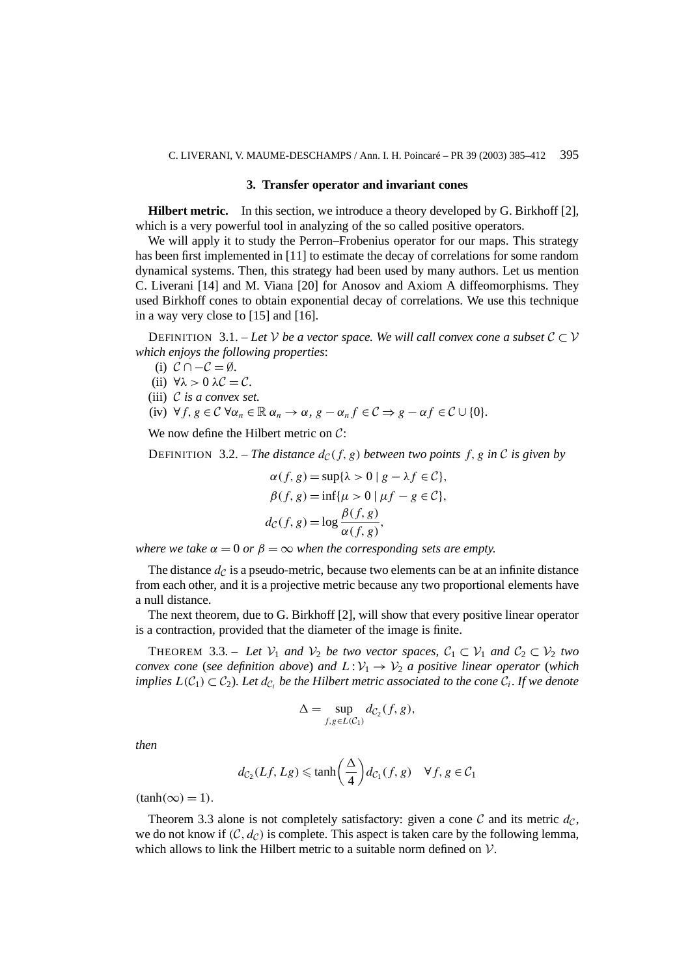#### **3. Transfer operator and invariant cones**

**Hilbert metric.** In this section, we introduce a theory developed by G. Birkhoff [2], which is a very powerful tool in analyzing of the so called positive operators.

We will apply it to study the Perron–Frobenius operator for our maps. This strategy has been first implemented in [11] to estimate the decay of correlations for some random dynamical systems. Then, this strategy had been used by many authors. Let us mention C. Liverani [14] and M. Viana [20] for Anosov and Axiom A diffeomorphisms. They used Birkhoff cones to obtain exponential decay of correlations. We use this technique in a way very close to [15] and [16].

DEFINITION 3.1. – Let  $\mathcal V$  be a vector space. We will call convex cone a subset  $\mathcal C \subset \mathcal V$ *which enjoys the following properties*:

- (i)  $C \cap -C = \emptyset$ .
- (ii)  $\forall \lambda > 0 \lambda \mathcal{C} = \mathcal{C}$ .
- (iii) C *is a convex set.*
- (iv)  $\forall f, g \in \mathcal{C}$   $\forall \alpha_n \in \mathbb{R} \alpha_n \rightarrow \alpha, g \alpha_n f \in \mathcal{C} \Rightarrow g \alpha f \in \mathcal{C} \cup \{0\}.$

We now define the Hilbert metric on C:

**DEFINITION** 3.2. – *The distance*  $d_c(f, g)$  *between two points*  $f, g$  *in* C *is given by* 

$$
\alpha(f, g) = \sup{\lambda > 0 \mid g - \lambda f \in C},
$$
  
\n
$$
\beta(f, g) = \inf{\mu > 0 \mid \mu f - g \in C},
$$
  
\n
$$
d_{\mathcal{C}}(f, g) = \log \frac{\beta(f, g)}{\alpha(f, g)},
$$

*where we take*  $\alpha = 0$  *or*  $\beta = \infty$  *when the corresponding sets are empty.* 

The distance  $d_{\mathcal{C}}$  is a pseudo-metric, because two elements can be at an infinite distance from each other, and it is a projective metric because any two proportional elements have a null distance.

The next theorem, due to G. Birkhoff [2], will show that every positive linear operator is a contraction, provided that the diameter of the image is finite.

THEOREM 3.3. – Let  $V_1$  and  $V_2$  be two vector spaces,  $C_1 \subset V_1$  and  $C_2 \subset V_2$  two *convex cone* (*see definition above*) *and*  $L:V_1 \rightarrow V_2$  *a positive linear operator* (*which implies*  $L(C_1) \subset C_2$ *). Let*  $d_{C_i}$  *be the Hilbert metric associated to the cone*  $C_i$ *. If we denote* 

$$
\Delta = \sup_{f,g \in L(C_1)} dc_2(f,g),
$$

*then*

$$
d_{C_2}(Lf, Lg) \le \tanh\left(\frac{\Delta}{4}\right) d_{C_1}(f, g) \quad \forall f, g \in C_1
$$

 $(tanh(\infty) = 1)$ .

Theorem 3.3 alone is not completely satisfactory: given a cone C and its metric  $d_{\mathcal{C}}$ , we do not know if  $(C, d_C)$  is complete. This aspect is taken care by the following lemma, which allows to link the Hilbert metric to a suitable norm defined on  $\mathcal{V}$ .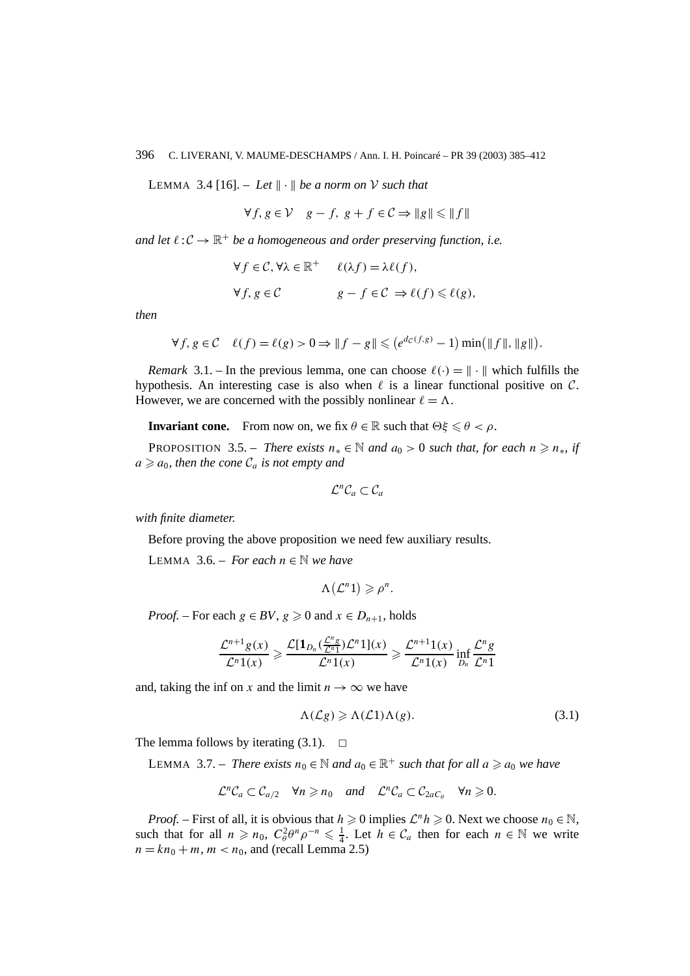LEMMA 3.4 [16]. – Let  $\|\cdot\|$  be a norm on V such that

$$
\forall f, g \in \mathcal{V} \quad g - f, \ g + f \in \mathcal{C} \Rightarrow \|g\| \le \|f\|
$$

*and let*  $\ell: \mathcal{C} \to \mathbb{R}^+$  *be a homogeneous and order preserving function, i.e.* 

$$
\forall f \in C, \forall \lambda \in \mathbb{R}^+ \qquad \ell(\lambda f) = \lambda \ell(f),
$$
  

$$
\forall f, g \in C \qquad g - f \in C \Rightarrow \ell(f) \leq \ell(g),
$$

*then*

$$
\forall f, g \in \mathcal{C} \quad \ell(f) = \ell(g) > 0 \Rightarrow \|f - g\| \leqslant \left(e^{d_{\mathcal{C}}(f,g)} - 1\right) \min\left(\|f\|, \|g\|\right).
$$

*Remark* 3.1. – In the previous lemma, one can choose  $\ell(\cdot) = \|\cdot\|$  which fulfills the hypothesis. An interesting case is also when  $\ell$  is a linear functional positive on  $\mathcal{C}$ . However, we are concerned with the possibly nonlinear  $\ell = \Lambda$ .

**Invariant cone.** From now on, we fix  $\theta \in \mathbb{R}$  such that  $\Theta \xi \leq \theta < \rho$ .

**PROPOSITION** 3.5. – *There exists*  $n_* \in \mathbb{N}$  *and*  $a_0 > 0$  *such that, for each*  $n \ge n_*$ *, if*  $a \ge a_0$ , then the cone  $C_a$  *is not empty and* 

$$
\mathcal{L}^n \mathcal{C}_a \subset \mathcal{C}_a
$$

*with finite diameter.*

Before proving the above proposition we need few auxiliary results.

LEMMA 3.6. – *For each*  $n \in \mathbb{N}$  *we have* 

$$
\Lambda(\mathcal{L}^n 1) \geqslant \rho^n.
$$

*Proof.* – For each  $g \in BV$ ,  $g \ge 0$  and  $x \in D_{n+1}$ , holds

$$
\frac{\mathcal{L}^{n+1}g(x)}{\mathcal{L}^n1(x)} \geqslant \frac{\mathcal{L}[\mathbf{1}_{D_n}(\frac{\mathcal{L}^n g}{\mathcal{L}^n1})(x)]}{\mathcal{L}^n1(x)} \geqslant \frac{\mathcal{L}^{n+1}1(x)}{\mathcal{L}^n1(x)}\inf_{D_n}\frac{\mathcal{L}^n g}{\mathcal{L}^n1}
$$

and, taking the inf on *x* and the limit  $n \to \infty$  we have

$$
\Lambda(\mathcal{L}g) \geqslant \Lambda(\mathcal{L}1)\Lambda(g). \tag{3.1}
$$

The lemma follows by iterating  $(3.1)$ .  $\Box$ 

LEMMA 3.7. – *There exists*  $n_0 \in \mathbb{N}$  *and*  $a_0 \in \mathbb{R}^+$  *such that for all*  $a \ge a_0$  *we have* 

$$
\mathcal{L}^n \mathcal{C}_a \subset \mathcal{C}_{a/2} \quad \forall n \geq n_0 \quad and \quad \mathcal{L}^n \mathcal{C}_a \subset \mathcal{C}_{2aC_\theta} \quad \forall n \geq 0.
$$

*Proof.* – First of all, it is obvious that  $h \ge 0$  implies  $\mathcal{L}^n h \ge 0$ . Next we choose  $n_0 \in \mathbb{N}$ , such that for all  $n \ge n_0$ ,  $C_\theta^2 \theta^n \rho^{-n} \le \frac{1}{4}$ . Let  $h \in C_a$  then for each  $n \in \mathbb{N}$  we write  $n = kn_0 + m$ ,  $m < n_0$ , and (recall Lemma 2.5)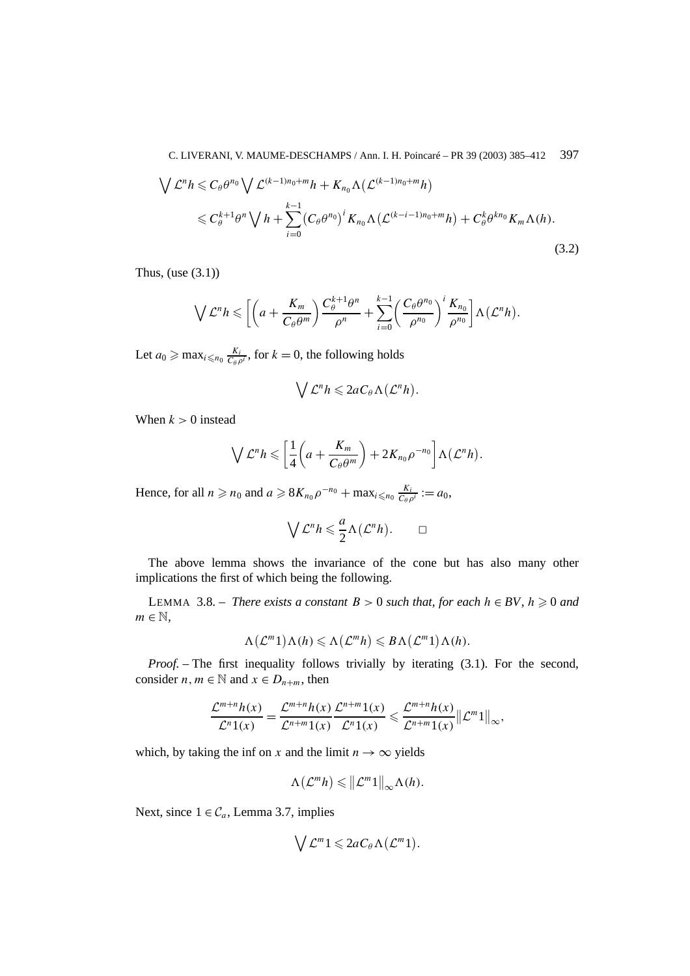$$
\begin{split} \bigvee \mathcal{L}^{n} h &\leq C_{\theta} \theta^{n_{0}} \bigvee \mathcal{L}^{(k-1)n_{0}+m} h + K_{n_{0}} \Lambda \big( \mathcal{L}^{(k-1)n_{0}+m} h \big) \\ &\leq C_{\theta}^{k+1} \theta^{n} \bigvee h + \sum_{i=0}^{k-1} \big( C_{\theta} \theta^{n_{0}} \big)^{i} K_{n_{0}} \Lambda \big( \mathcal{L}^{(k-i-1)n_{0}+m} h \big) + C_{\theta}^{k} \theta^{kn_{0}} K_{m} \Lambda(h). \end{split} \tag{3.2}
$$

Thus, (use  $(3.1)$ )

$$
\bigvee \mathcal{L}^n h \leqslant \bigg[ \bigg( a + \frac{K_m}{C_{\theta} \theta^m} \bigg) \frac{C_{\theta}^{k+1} \theta^n}{\rho^n} + \sum_{i=0}^{k-1} \bigg( \frac{C_{\theta} \theta^{n_0}}{\rho^{n_0}} \bigg)^i \frac{K_{n_0}}{\rho^{n_0}} \bigg] \Lambda \big( \mathcal{L}^n h \big).
$$

Let  $a_0 \ge \max_{i \le n_0} \frac{K_i}{C_\theta \rho^i}$ , for  $k = 0$ , the following holds

$$
\bigvee \mathcal{L}^n h \leqslant 2aC_\theta \Lambda(\mathcal{L}^n h).
$$

When  $k > 0$  instead

$$
\bigvee \mathcal{L}^n h \leqslant \left[ \frac{1}{4} \left( a + \frac{K_m}{C_{\theta} \theta^m} \right) + 2 K_{n_0} \rho^{-n_0} \right] \Lambda \left( \mathcal{L}^n h \right).
$$

Hence, for all  $n \ge n_0$  and  $a \ge 8K_{n_0}\rho^{-n_0} + \max_{i \le n_0} \frac{K_i}{C_{\theta}\rho^i} := a_0$ ,

$$
\bigvee \mathcal{L}^n h \leqslant \frac{a}{2} \Lambda(\mathcal{L}^n h). \qquad \Box
$$

The above lemma shows the invariance of the cone but has also many other implications the first of which being the following.

LEMMA 3.8. − *There exists a constant*  $B > 0$  *such that, for each*  $h ∈ BV$ ,  $h ≥ 0$  *and*  $m \in \mathbb{N}$ ,

$$
\Lambda(\mathcal{L}^m 1) \Lambda(h) \leqslant \Lambda(\mathcal{L}^m h) \leqslant B \Lambda(\mathcal{L}^m 1) \Lambda(h).
$$

*Proof. –* The first inequality follows trivially by iterating (3.1). For the second, consider *n*,  $m \in \mathbb{N}$  and  $x \in D_{n+m}$ , then

$$
\frac{\mathcal{L}^{m+n}h(x)}{\mathcal{L}^n 1(x)} = \frac{\mathcal{L}^{m+n}h(x)}{\mathcal{L}^{n+m} 1(x)} \frac{\mathcal{L}^{n+m}1(x)}{\mathcal{L}^n 1(x)} \leqslant \frac{\mathcal{L}^{m+n}h(x)}{\mathcal{L}^{n+m} 1(x)} ||\mathcal{L}^m 1||_{\infty},
$$

which, by taking the inf on *x* and the limit  $n \to \infty$  yields

$$
\Lambda(\mathcal{L}^m h) \leqslant \| \mathcal{L}^m 1 \|_{\infty} \Lambda(h).
$$

Next, since  $1 \in C_a$ , Lemma 3.7, implies

$$
\bigvee \mathcal{L}^m 1 \leqslant 2aC_\theta \Lambda \big( \mathcal{L}^m 1 \big).
$$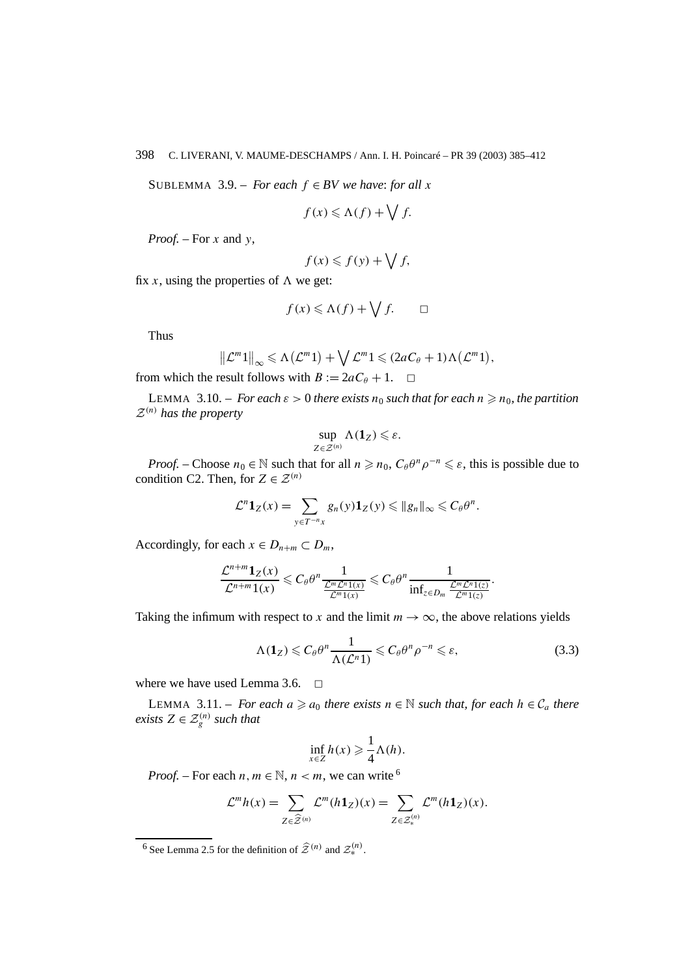SUBLEMMA 3.9. – *For each*  $f \in BV$  *we have: for all*  $x$ 

$$
f(x) \leq \Lambda(f) + \bigvee f.
$$

*Proof. –* For *x* and *y*,

$$
f(x) \leqslant f(y) + \bigvee f,
$$

fix *x*, using the properties of  $\Lambda$  we get:

$$
f(x) \leq \Lambda(f) + \bigvee f. \qquad \Box
$$

Thus

$$
\|\mathcal{L}^m\mathbb{1}\|_{\infty} \leq \Lambda(\mathcal{L}^m\mathbb{1}) + \bigvee \mathcal{L}^m\mathbb{1} \leq (2aC_\theta + 1)\Lambda(\mathcal{L}^m\mathbb{1}),
$$

from which the result follows with  $B := 2aC_\theta + 1$ .  $\Box$ 

LEMMA 3.10. – *For each*  $\varepsilon > 0$  *there exists*  $n_0$  *such that for each*  $n \ge n_0$ *, the partition*  $\mathcal{Z}^{(n)}$  has the property

$$
\sup_{Z\in\mathcal{Z}^{(n)}}\Lambda(\mathbf{1}_Z)\leqslant \varepsilon.
$$

*Proof.* – Choose  $n_0 \in \mathbb{N}$  such that for all  $n \geq n_0$ ,  $C_\theta \theta^n \rho^{-n} \leq \varepsilon$ , this is possible due to condition C2. Then, for  $Z \in \mathcal{Z}^{(n)}$ 

$$
\mathcal{L}^n \mathbf{1}_Z(x) = \sum_{y \in T^{-n}x} g_n(y) \mathbf{1}_Z(y) \leq \|g_n\|_{\infty} \leq C_{\theta} \theta^n.
$$

Accordingly, for each  $x \in D_{n+m} \subset D_m$ ,

$$
\frac{\mathcal{L}^{n+m} \mathbf{1}_Z(x)}{\mathcal{L}^{n+m} \mathbf{1}(x)} \leqslant C_\theta \theta^n \frac{1}{\frac{\mathcal{L}^m \mathcal{L}^n \mathbf{1}(x)}{\mathcal{L}^m \mathbf{1}(x)}} \leqslant C_\theta \theta^n \frac{1}{\inf_{z \in D_m} \frac{\mathcal{L}^m \mathcal{L}^n \mathbf{1}(z)}{\mathcal{L}^m \mathbf{1}(z)}}.
$$

Taking the infimum with respect to *x* and the limit  $m \to \infty$ , the above relations yields

$$
\Lambda(\mathbf{1}_Z) \leqslant C_\theta \theta^n \frac{1}{\Lambda(\mathcal{L}^n 1)} \leqslant C_\theta \theta^n \rho^{-n} \leqslant \varepsilon,\tag{3.3}
$$

where we have used Lemma 3.6.  $\Box$ 

LEMMA 3.11. – *For each*  $a \ge a_0$  *there exists*  $n \in \mathbb{N}$  *such that, for each*  $h \in \mathcal{C}_a$  *there exists*  $Z \in \mathcal{Z}_g^{(n)}$  *such that* 

$$
\inf_{x \in Z} h(x) \geqslant \frac{1}{4} \Lambda(h).
$$

*Proof.* – For each  $n, m \in \mathbb{N}$ ,  $n < m$ , we can write <sup>6</sup>

$$
\mathcal{L}^m h(x) = \sum_{Z \in \widehat{\mathcal{Z}}^{(n)}} \mathcal{L}^m(h \mathbf{1}_Z)(x) = \sum_{Z \in \mathcal{Z}^{(n)}_*} \mathcal{L}^m(h \mathbf{1}_Z)(x).
$$

<sup>&</sup>lt;sup>6</sup> See Lemma 2.5 for the definition of  $\hat{\mathcal{Z}}^{(n)}$  and  $\mathcal{Z}_{*}^{(n)}$ .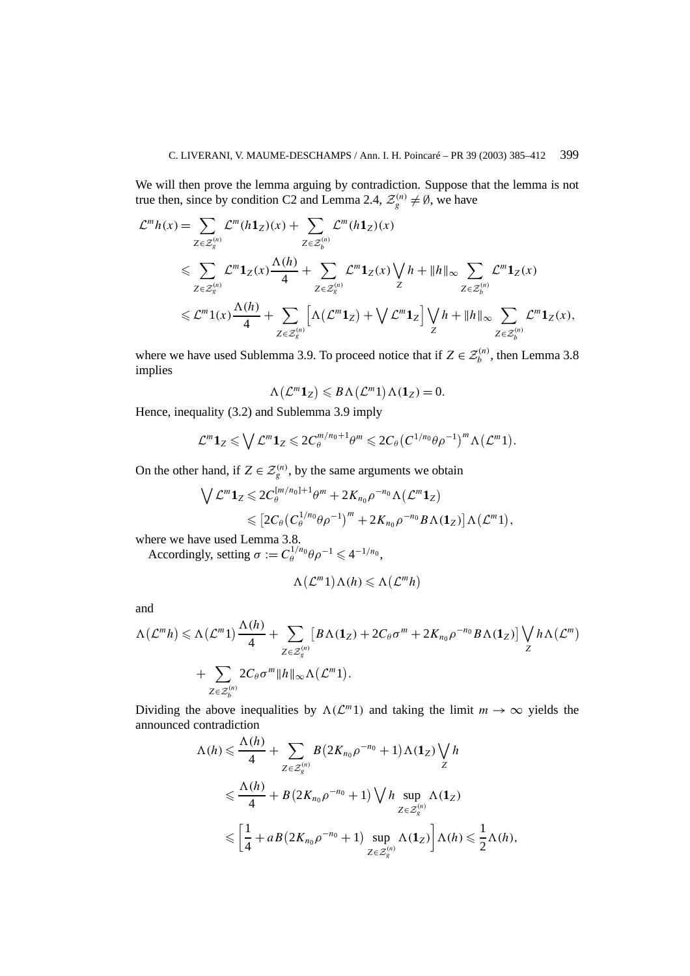We will then prove the lemma arguing by contradiction. Suppose that the lemma is not true then, since by condition C2 and Lemma 2.4,  $\mathcal{Z}_g^{(n)} \neq \emptyset$ , we have

$$
\mathcal{L}^{m}h(x) = \sum_{Z \in \mathcal{Z}_{g}^{(n)}} \mathcal{L}^{m}(h\mathbf{1}_{Z})(x) + \sum_{Z \in \mathcal{Z}_{b}^{(n)}} \mathcal{L}^{m}(h\mathbf{1}_{Z})(x)
$$
  
\$\leqslant \sum\_{Z \in \mathcal{Z}\_{g}^{(n)}} \mathcal{L}^{m}\mathbf{1}\_{Z}(x) \frac{\Lambda(h)}{4} + \sum\_{Z \in \mathcal{Z}\_{g}^{(n)}} \mathcal{L}^{m}\mathbf{1}\_{Z}(x) \bigvee\_{Z} h + \|h\|\_{\infty} \sum\_{Z \in \mathcal{Z}\_{b}^{(n)}} \mathcal{L}^{m}\mathbf{1}\_{Z}(x)  
\$\leqslant \mathcal{L}^{m}\mathbf{1}(x) \frac{\Lambda(h)}{4} + \sum\_{Z \in \mathcal{Z}\_{g}^{(n)}} \left[ \Lambda(\mathcal{L}^{m}\mathbf{1}\_{Z}) + \bigvee \mathcal{L}^{m}\mathbf{1}\_{Z}\right] \bigvee\_{Z} h + \|h\|\_{\infty} \sum\_{Z \in \mathcal{Z}\_{b}^{(n)}} \mathcal{L}^{m}\mathbf{1}\_{Z}(x),

where we have used Sublemma 3.9. To proceed notice that if  $Z \in \mathcal{Z}_b^{(n)}$ , then Lemma 3.8 implies

$$
\Lambda(\mathcal{L}^m \mathbf{1}_Z) \leqslant B \Lambda(\mathcal{L}^m \mathbf{1}) \Lambda(\mathbf{1}_Z) = 0.
$$

Hence, inequality (3.2) and Sublemma 3.9 imply

$$
\mathcal{L}^m \mathbf{1}_Z \leqslant \bigvee \mathcal{L}^m \mathbf{1}_Z \leqslant 2C_{\theta}^{m/n_0+1}\theta^m \leqslant 2C_{\theta} \big(C^{1/n_0}\theta \rho^{-1}\big)^m \Lambda \big(\mathcal{L}^m 1\big).
$$

On the other hand, if  $Z \in \mathcal{Z}_g^{(n)}$ , by the same arguments we obtain

$$
\begin{split} \bigvee \mathcal{L}^m \mathbf{1}_Z &\leq 2C_\theta^{[m/n_0]+1}\theta^m + 2K_{n_0}\rho^{-n_0}\Lambda(\mathcal{L}^m\mathbf{1}_Z) \\ &\leqslant \big[2C_\theta\big(C_\theta^{1/n_0}\theta\rho^{-1}\big)^m + 2K_{n_0}\rho^{-n_0}B\Lambda(\mathbf{1}_Z)\big]\Lambda(\mathcal{L}^m\mathbf{1}), \end{split}
$$

where we have used Lemma 3.8.

Accordingly, setting  $\sigma := C_{\theta}^{1/n_0} \theta \rho^{-1} \leq 4^{-1/n_0}$ ,

$$
\Lambda\big(\mathcal{L}^m 1\big)\Lambda(h)\leqslant\Lambda\big(\mathcal{L}^mh\big)
$$

and

$$
\Lambda(\mathcal{L}^m h) \leq \Lambda(\mathcal{L}^m 1) \frac{\Lambda(h)}{4} + \sum_{Z \in \mathcal{Z}_g^{(n)}} \left[ B \Lambda(1_Z) + 2C_\theta \sigma^m + 2K_{n_0} \rho^{-n_0} B \Lambda(1_Z) \right] \bigvee_Z h \Lambda(\mathcal{L}^m)
$$
  
+ 
$$
\sum_{Z \in \mathcal{Z}_b^{(n)}} 2C_\theta \sigma^m \|h\|_\infty \Lambda(\mathcal{L}^m 1).
$$

Dividing the above inequalities by  $\Lambda(\mathcal{L}^m)$  and taking the limit  $m \to \infty$  yields the announced contradiction

$$
\Lambda(h) \leq \frac{\Lambda(h)}{4} + \sum_{Z \in \mathcal{Z}_g^{(n)}} B(2K_{n_0}\rho^{-n_0} + 1) \Lambda(\mathbf{1}_Z) \bigvee_Z h
$$
  

$$
\leq \frac{\Lambda(h)}{4} + B(2K_{n_0}\rho^{-n_0} + 1) \bigvee_h h \sup_{Z \in \mathcal{Z}_g^{(n)}} \Lambda(\mathbf{1}_Z)
$$
  

$$
\leq \left[\frac{1}{4} + aB(2K_{n_0}\rho^{-n_0} + 1) \sup_{Z \in \mathcal{Z}_g^{(n)}} \Lambda(\mathbf{1}_Z)\right] \Lambda(h) \leq \frac{1}{2} \Lambda(h),
$$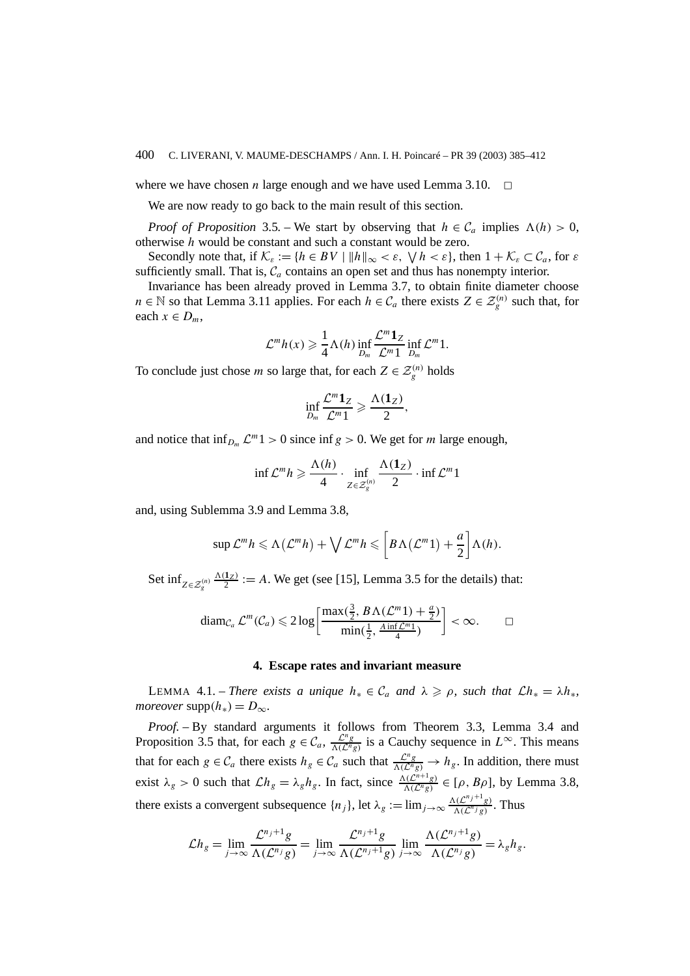where we have chosen *n* large enough and we have used Lemma 3.10.  $\Box$ 

We are now ready to go back to the main result of this section.

*Proof of Proposition* 3.5. – We start by observing that  $h \in C_a$  implies  $\Lambda(h) > 0$ , otherwise *h* would be constant and such a constant would be zero.

Secondly note that, if  $\mathcal{K}_{\varepsilon} := \{ h \in BV \mid ||h||_{\infty} < \varepsilon, \forall h < \varepsilon \}$ , then  $1 + \mathcal{K}_{\varepsilon} \subset \mathcal{C}_a$ , for  $\varepsilon$ sufficiently small. That is,  $C_a$  contains an open set and thus has nonempty interior.

Invariance has been already proved in Lemma 3.7, to obtain finite diameter choose *n* ∈ N so that Lemma 3.11 applies. For each *h* ∈  $C_a$  there exists  $Z \in \mathcal{Z}_g^{(n)}$  such that, for each  $x \in D_m$ ,

$$
\mathcal{L}^m h(x) \geq \frac{1}{4} \Lambda(h) \inf_{D_m} \frac{\mathcal{L}^m \mathbf{1}_Z}{\mathcal{L}^m 1} \inf_{D_m} \mathcal{L}^m 1.
$$

To conclude just chose *m* so large that, for each  $Z \in \mathcal{Z}_g^{(n)}$  holds

$$
\inf_{D_m} \frac{\mathcal{L}^m \mathbf{1}_Z}{\mathcal{L}^m 1} \geqslant \frac{\Lambda(\mathbf{1}_Z)}{2},
$$

and notice that  $\inf_{D_m} \mathcal{L}^m 1 > 0$  since  $\inf g > 0$ . We get for *m* large enough,

$$
\inf \mathcal{L}^m h \geqslant \frac{\Lambda(h)}{4} \cdot \inf_{Z \in \mathcal{Z}_g^{(n)}} \frac{\Lambda(1_Z)}{2} \cdot \inf \mathcal{L}^m 1
$$

and, using Sublemma 3.9 and Lemma 3.8,

$$
\sup \mathcal{L}^m h \leq \Lambda(\mathcal{L}^m h) + \bigvee \mathcal{L}^m h \leqslant \left[ B \Lambda(\mathcal{L}^m 1) + \frac{a}{2} \right] \Lambda(h).
$$

Set  $\inf_{Z \in \mathcal{Z}_g^{(n)}}$  $\frac{\Lambda(1_Z)}{2}$  := *A*. We get (see [15], Lemma 3.5 for the details) that:

$$
\operatorname{diam}_{\mathcal{C}_a} \mathcal{L}^m(\mathcal{C}_a) \leqslant 2 \log \left[ \frac{\max(\frac{3}{2}, B \Lambda(\mathcal{L}^m 1) + \frac{a}{2})}{\min(\frac{1}{2}, \frac{A \inf \mathcal{L}^m 1}{4})} \right] < \infty. \qquad \Box
$$

#### **4. Escape rates and invariant measure**

LEMMA 4.1. – *There exists a unique*  $h_* \in C_a$  *and*  $\lambda \geq \rho$ *, such that*  $\mathcal{L}h_* = \lambda h_*$ *, moreover* supp $(h_*) = D_{\infty}$ .

*Proof. –* By standard arguments it follows from Theorem 3.3, Lemma 3.4 and Proposition 3.5 that, for each  $g \in C_a$ ,  $\frac{L^n g}{\Lambda(L^n g)}$  is a Cauchy sequence in  $L^\infty$ . This means that for each  $g \in \mathcal{C}_a$  there exists  $h_g \in \mathcal{C}_a$  such that  $\frac{\mathcal{L}^n g}{\Lambda(\mathcal{L}^n g)} \to h_g$ . In addition, there must exist  $\lambda_g > 0$  such that  $\mathcal{L}h_g = \lambda_g h_g$ . In fact, since  $\frac{\Lambda(\mathcal{L}^{n+1}g)}{\Lambda(\mathcal{L}^ng)} \in [\rho, B\rho]$ , by Lemma 3.8, there exists a convergent subsequence  $\{n_j\}$ , let  $\lambda_g := \lim_{j \to \infty} \frac{\Lambda(\mathcal{L}^{n_j+1} g)}{\Lambda(\mathcal{L}^{n_j} g)}$ . Thus

$$
\mathcal{L}h_g = \lim_{j \to \infty} \frac{\mathcal{L}^{n_j+1}g}{\Lambda(\mathcal{L}^{n_j}g)} = \lim_{j \to \infty} \frac{\mathcal{L}^{n_j+1}g}{\Lambda(\mathcal{L}^{n_j+1}g)} \lim_{j \to \infty} \frac{\Lambda(\mathcal{L}^{n_j+1}g)}{\Lambda(\mathcal{L}^{n_j}g)} = \lambda_g h_g.
$$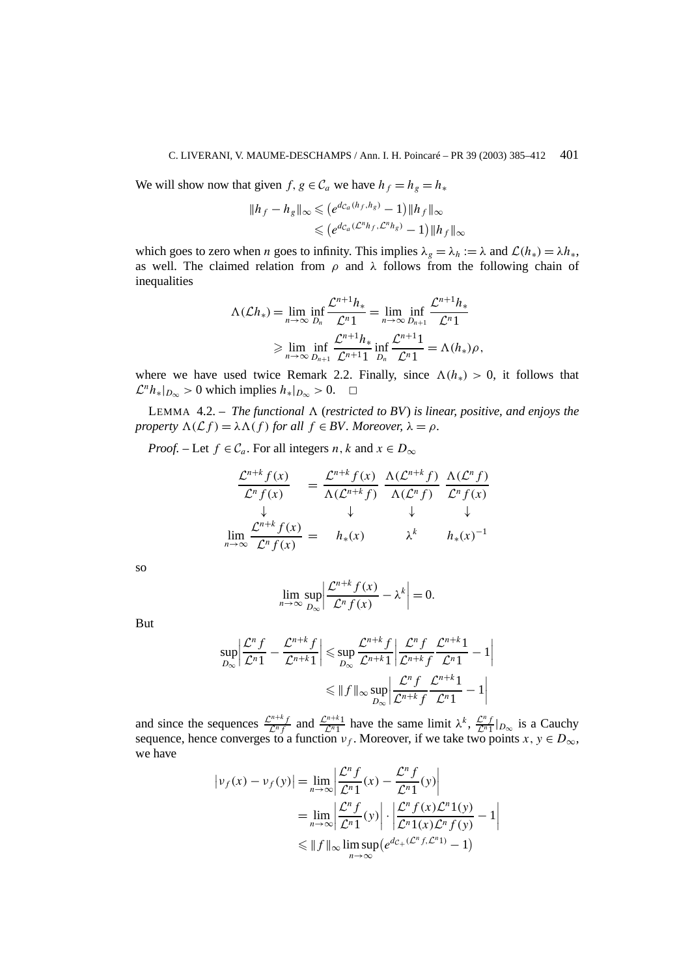We will show now that given *f*,  $g \in C_a$  we have  $h_f = h_g = h_*$ 

$$
||h_f - h_g||_{\infty} \leqslant (e^{d_{C_a}(h_f, h_g)} - 1) ||h_f||_{\infty}
$$
  

$$
\leqslant (e^{d_{C_a}(\mathcal{L}^n h_f, \mathcal{L}^n h_g)} - 1) ||h_f||_{\infty}
$$

which goes to zero when *n* goes to infinity. This implies  $\lambda_g = \lambda_h := \lambda$  and  $\mathcal{L}(h_*) = \lambda h_*$ , as well. The claimed relation from *ρ* and *λ* follows from the following chain of inequalities

$$
\Lambda(\mathcal{L}h_*) = \lim_{n \to \infty} \inf_{D_n} \frac{\mathcal{L}^{n+1}h_*}{\mathcal{L}^{n}1} = \lim_{n \to \infty} \inf_{D_{n+1}} \frac{\mathcal{L}^{n+1}h_*}{\mathcal{L}^{n}1}
$$

$$
\geq \lim_{n \to \infty} \inf_{D_{n+1}} \frac{\mathcal{L}^{n+1}h_*}{\mathcal{L}^{n+1}1} \inf_{D_n} \frac{\mathcal{L}^{n+1}1}{\mathcal{L}^{n}1} = \Lambda(h_*)\rho,
$$

where we have used twice Remark 2.2. Finally, since  $\Lambda(h_*) > 0$ , it follows that  $\mathcal{L}^n h_*|_{D_\infty} > 0$  which implies  $h_*|_{D_\infty} > 0$ . <del></del>□

LEMMA 4.2. – *The functional*  $\Lambda$  (*restricted to BV*) *is linear, positive, and enjoys the property*  $\Lambda(\mathcal{L}f) = \lambda \Lambda(f)$  *for all*  $f \in BV$ *. Moreover,*  $\lambda = \rho$ *.* 

*Proof.* – Let  $f \in \mathcal{C}_a$ . For all integers *n*, *k* and  $x \in D_\infty$ 

$$
\frac{\mathcal{L}^{n+k} f(x)}{\mathcal{L}^n f(x)} = \frac{\mathcal{L}^{n+k} f(x)}{\Lambda(\mathcal{L}^{n+k} f)} \frac{\Lambda(\mathcal{L}^{n+k} f)}{\Lambda(\mathcal{L}^n f)} \frac{\Lambda(\mathcal{L}^n f)}{\mathcal{L}^n f(x)}
$$
\n
$$
\downarrow \qquad \qquad \downarrow \qquad \qquad \downarrow
$$
\n
$$
\lim_{n \to \infty} \frac{\mathcal{L}^{n+k} f(x)}{\mathcal{L}^n f(x)} = h_*(x) \qquad \qquad \lambda^k \qquad h_*(x)^{-1}
$$

so

$$
\lim_{n \to \infty} \sup_{D_{\infty}} \left| \frac{\mathcal{L}^{n+k} f(x)}{\mathcal{L}^n f(x)} - \lambda^k \right| = 0.
$$

But

$$
\sup_{D_{\infty}} \left| \frac{\mathcal{L}^n f}{\mathcal{L}^n 1} - \frac{\mathcal{L}^{n+k} f}{\mathcal{L}^{n+k} 1} \right| \leq \sup_{D_{\infty}} \frac{\mathcal{L}^{n+k} f}{\mathcal{L}^{n+k} 1} \left| \frac{\mathcal{L}^n f}{\mathcal{L}^{n+k} f} \frac{\mathcal{L}^{n+k} 1}{\mathcal{L}^{n} 1} - 1 \right|
$$
  

$$
\leq \|f\|_{\infty} \sup_{D_{\infty}} \left| \frac{\mathcal{L}^n f}{\mathcal{L}^{n+k} f} \frac{\mathcal{L}^{n+k} 1}{\mathcal{L}^{n} 1} - 1 \right|
$$

and since the sequences  $\frac{\mathcal{L}^{n+k}f}{\mathcal{L}^nf}$  and  $\frac{\mathcal{L}^{n+k}1}{\mathcal{L}^n1}$  have the same limit  $\lambda^k$ ,  $\frac{\mathcal{L}^nf}{\mathcal{L}^n1}|_{D_{\infty}}$  is a Cauchy sequence, hence converges to a function  $v_f$ . Moreover, if we take two points  $x, y \in D_{\infty}$ , we have

$$
|v_f(x) - v_f(y)| = \lim_{n \to \infty} \left| \frac{\mathcal{L}^n f}{\mathcal{L}^n 1}(x) - \frac{\mathcal{L}^n f}{\mathcal{L}^n 1}(y) \right|
$$
  
= 
$$
\lim_{n \to \infty} \left| \frac{\mathcal{L}^n f}{\mathcal{L}^n 1}(y) \right| \cdot \left| \frac{\mathcal{L}^n f(x) \mathcal{L}^n 1(y)}{\mathcal{L}^n 1(x) \mathcal{L}^n f(y)} - 1 \right|
$$
  
\$\leq \Vert f \Vert\_{\infty} \limsup\_{n \to \infty} (e^{d\_{\mathcal{C}\_+}(\mathcal{L}^n f, \mathcal{L}^n 1)} - 1)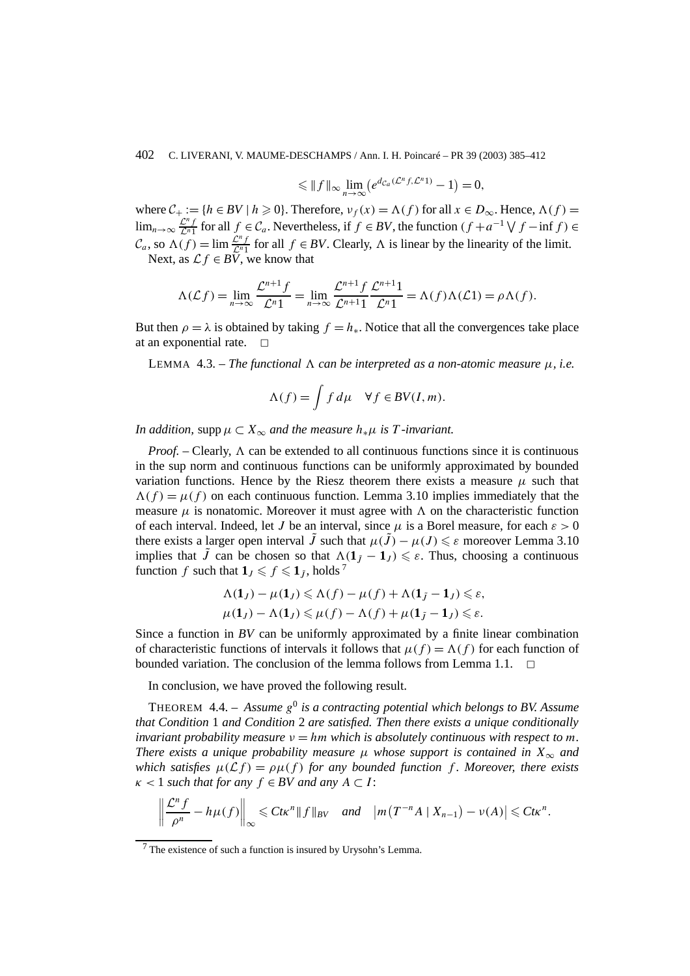$$
\leqslant \|f\|_{\infty} \lim_{n\to\infty} \left(e^{d_{\mathcal{C}_a}(\mathcal{L}^n f,\mathcal{L}^n 1)} - 1\right) = 0,
$$

where  $C_+ := \{h \in BV \mid h \geq 0\}$ . Therefore,  $v_f(x) = \Lambda(f)$  for all  $x \in D_\infty$ . Hence,  $\Lambda(f) =$ lim<sub>n→∞</sub>  $\frac{C^n f}{C^n 1}$  for all  $f \in C_a$ . Nevertheless, if  $f \in BV$ , the function  $(f + a^{-1} \vee f - \inf f) \in$  $\mathcal{C}_a$ , so  $\Lambda(f) = \lim_{n \to \infty} \frac{\mathcal{L}^n f}{\mathcal{L}^n}$  for all  $f \in BV$ . Clearly,  $\Lambda$  is linear by the linearity of the limit. Next, as  $\mathcal{L} f \in B\overline{V}$ , we know that

$$
\Lambda(\mathcal{L}f) = \lim_{n \to \infty} \frac{\mathcal{L}^{n+1}f}{\mathcal{L}^n 1} = \lim_{n \to \infty} \frac{\mathcal{L}^{n+1}f}{\mathcal{L}^{n+1} 1} \frac{\mathcal{L}^{n+1}1}{\mathcal{L}^n 1} = \Lambda(f)\Lambda(\mathcal{L}1) = \rho \Lambda(f).
$$

But then  $\rho = \lambda$  is obtained by taking  $f = h_*$ . Notice that all the convergences take place at an exponential rate.  $\Box$ 

LEMMA 4.3. – *The functional*  $\Lambda$  *can be interpreted as a non-atomic measure*  $\mu$ *, i.e.* 

$$
\Lambda(f) = \int f d\mu \quad \forall f \in BV(I, m).
$$

*In addition,* supp  $\mu \subset X_\infty$  *and the measure*  $h_*\mu$  *is T -invariant.* 

*Proof.* – Clearly,  $\Lambda$  can be extended to all continuous functions since it is continuous in the sup norm and continuous functions can be uniformly approximated by bounded variation functions. Hence by the Riesz theorem there exists a measure  $\mu$  such that  $\Lambda(f) = \mu(f)$  on each continuous function. Lemma 3.10 implies immediately that the measure  $\mu$  is nonatomic. Moreover it must agree with  $\Lambda$  on the characteristic function of each interval. Indeed, let *J* be an interval, since  $\mu$  is a Borel measure, for each  $\varepsilon > 0$ there exists a larger open interval  $\tilde{J}$  such that  $\mu(\tilde{J}) - \mu(J) \leq \varepsilon$  moreover Lemma 3.10 implies that  $\tilde{J}$  can be chosen so that  $\Lambda(1_{\tilde{J}} - 1_J) \leq \varepsilon$ . Thus, choosing a continuous function *f* such that  $\mathbf{1}_J \leqslant f \leqslant \mathbf{1}_J$ , holds <sup>7</sup>

$$
\Lambda(\mathbf{1}_J) - \mu(\mathbf{1}_J) \le \Lambda(f) - \mu(f) + \Lambda(\mathbf{1}_J - \mathbf{1}_J) \le \varepsilon,
$$
  

$$
\mu(\mathbf{1}_J) - \Lambda(\mathbf{1}_J) \le \mu(f) - \Lambda(f) + \mu(\mathbf{1}_J - \mathbf{1}_J) \le \varepsilon.
$$

Since a function in *BV* can be uniformly approximated by a finite linear combination of characteristic functions of intervals it follows that  $\mu(f) = \Lambda(f)$  for each function of bounded variation. The conclusion of the lemma follows from Lemma 1.1.  $\Box$ 

In conclusion, we have proved the following result.

THEOREM 4.4. – *Assume g*<sup>0</sup> *is a contracting potential which belongs to BV. Assume that Condition* 1 *and Condition* 2 *are satisfied. Then there exists a unique conditionally invariant probability measure*  $v = hm$  *which is absolutely continuous with respect to m. There exists a unique probability measure*  $\mu$  *whose support is contained in*  $X_{\infty}$  *and which satisfies*  $\mu(\mathcal{L}f) = \rho\mu(f)$  *for any bounded function* f. Moreover, there exists  $\kappa$  < 1 *such that for any*  $f \in BV$  *and any*  $A \subset I$ :

$$
\left\|\frac{\mathcal{L}^n f}{\rho^n}-h\mu(f)\right\|_{\infty}\leqslant C t\kappa^n\|f\|_{BV}\quad and\quad \left|m\left(T^{-n}A\mid X_{n-1}\right)-\nu(A)\right|\leqslant C t\kappa^n.
$$

<sup>7</sup> The existence of such a function is insured by Urysohn's Lemma.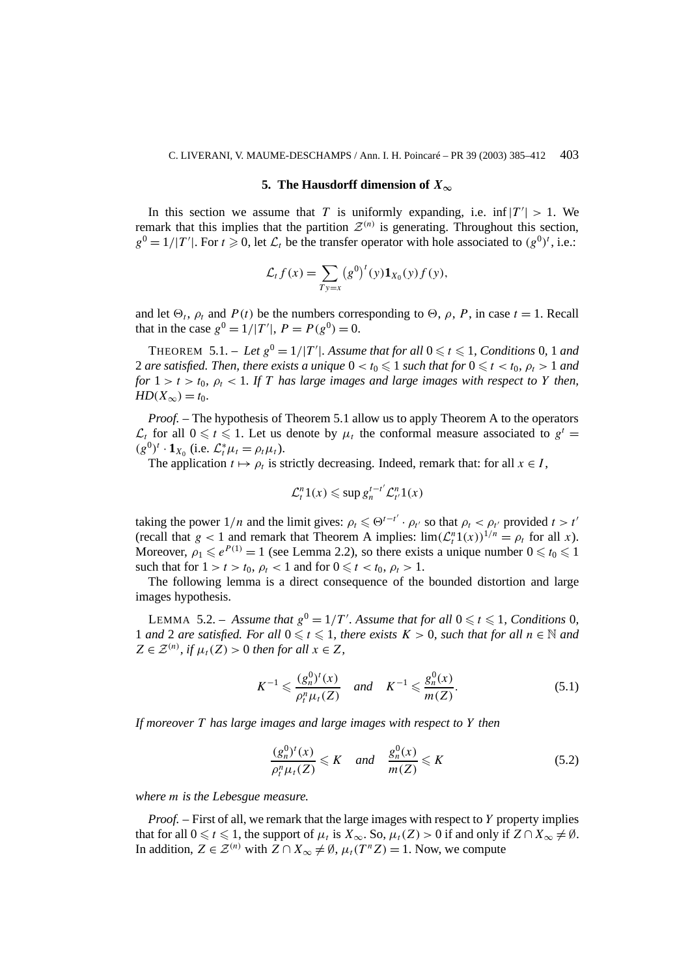## **5. The Hausdorff dimension of**  $X_\infty$

In this section we assume that *T* is uniformly expanding, i.e.  $\inf |T'| > 1$ . We remark that this implies that the partition  $\mathcal{Z}^{(n)}$  is generating. Throughout this section,  $g^0 = 1/|T'|$ . For  $t \ge 0$ , let  $\mathcal{L}_t$  be the transfer operator with hole associated to  $(g^0)^t$ , i.e.:

$$
\mathcal{L}_t f(x) = \sum_{Ty=x} (g^0)^t (y) \mathbf{1}_{X_0}(y) f(y),
$$

and let  $\Theta_t$ ,  $\rho_t$  and  $P(t)$  be the numbers corresponding to  $\Theta$ ,  $\rho$ ,  $P$ , in case  $t = 1$ . Recall that in the case  $g^0 = 1/|T'|$ ,  $P = P(g^0) = 0$ .

THEOREM 5.1. – Let  $g^0 = 1/|T'|$ . Assume that for all  $0 \le t \le 1$ , Conditions 0, 1 and 2 are satisfied. Then, there exists a unique  $0 < t_0 \leqslant 1$  such that for  $0 \leqslant t < t_0,\ \rho_t > 1$  and *for*  $1 > t > t_0$ ,  $\rho_t < 1$ . If *T* has large images and large images with respect to *Y* then, *HD*( $X_{\infty}$ ) = *t*<sub>0</sub>*.* 

*Proof. –* The hypothesis of Theorem 5.1 allow us to apply Theorem A to the operators  $\mathcal{L}_t$  for all  $0 \le t \le 1$ . Let us denote by  $\mu_t$  the conformal measure associated to  $g^t =$  $(g^{0})^{t} \cdot \mathbf{1}_{X_{0}}$  (i.e.  $\mathcal{L}_{t}^{*} \mu_{t} = \rho_{t} \mu_{t}$ ).

The application  $t \mapsto \rho_t$  is strictly decreasing. Indeed, remark that: for all  $x \in I$ ,

$$
\mathcal{L}_t^n 1(x) \leqslant \sup g_n^{t-t'} \mathcal{L}_{t'}^n 1(x)
$$

taking the power  $1/n$  and the limit gives:  $\rho_t \leq \Theta^{t-t'} \cdot \rho_{t'}$  so that  $\rho_t < \rho_{t'}$  provided  $t > t'$ (recall that  $g < 1$  and remark that Theorem A implies:  $\lim_{t \to 1} (\mathcal{L}_t^n 1(x))^{1/n} = \rho_t$  for all *x*). Moreover,  $\rho_1 \leqslant e^{P(1)} = 1$  (see Lemma 2.2), so there exists a unique number  $0 \leqslant t_0 \leqslant 1$ such that for  $1 > t > t_0$ ,  $\rho_t < 1$  and for  $0 \leq t < t_0$ ,  $\rho_t > 1$ .

The following lemma is a direct consequence of the bounded distortion and large images hypothesis.

LEMMA 5.2. – Assume that  $g^0 = 1/T'$ . Assume that for all  $0 \le t \le 1$ , Conditions 0, 1 and 2 are satisfied. For all  $0 \le t \le 1$ , there exists  $K > 0$ , such that for all  $n \in \mathbb{N}$  and  $Z \in \mathcal{Z}^{(n)}$ *, if*  $\mu_t(Z) > 0$  *then for all*  $x \in Z$ *,* 

$$
K^{-1} \leqslant \frac{(g_n^0)^t(x)}{\rho_l^n \mu_t(Z)} \quad \text{and} \quad K^{-1} \leqslant \frac{g_n^0(x)}{m(Z)}.\tag{5.1}
$$

*If moreover T has large images and large images with respect to Y then*

$$
\frac{(g_n^0)^t(x)}{\rho_t^n \mu_t(Z)} \leqslant K \quad \text{and} \quad \frac{g_n^0(x)}{m(Z)} \leqslant K \tag{5.2}
$$

*where m is the Lebesgue measure.*

*Proof. –* First of all, we remark that the large images with respect to *Y* property implies that for all  $0 \le t \le 1$ , the support of  $\mu_t$  is  $X_\infty$ . So,  $\mu_t(Z) > 0$  if and only if  $Z \cap X_\infty \ne \emptyset$ . In addition, *Z* ∈  $\mathcal{Z}^{(n)}$  with *Z* ∩ *X*<sub>∞</sub>  $\neq$  Ø,  $\mu_t(T^nZ) = 1$ . Now, we compute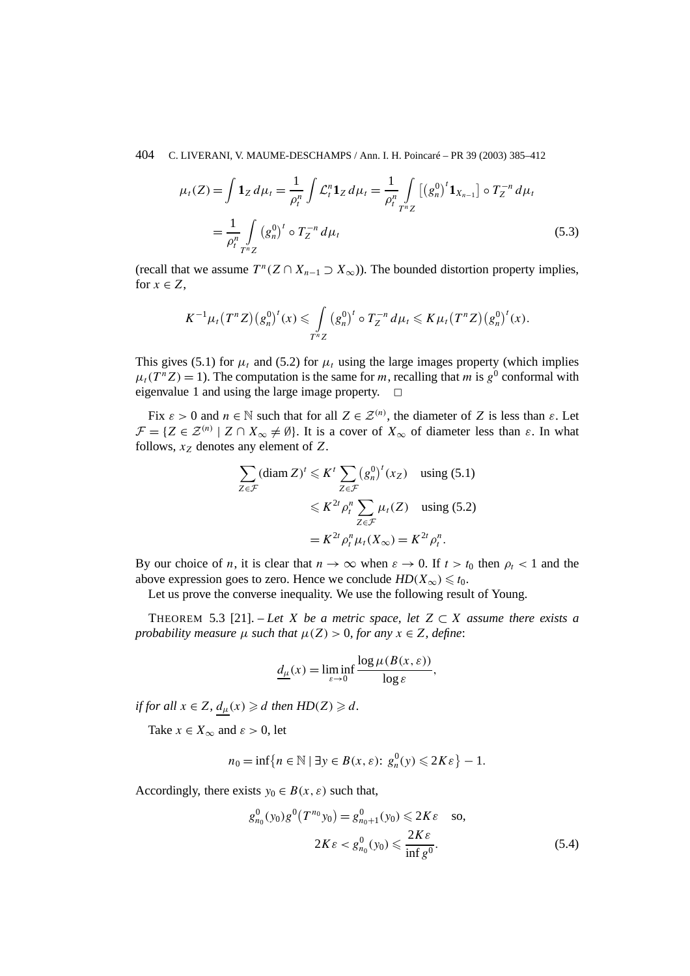$$
\mu_t(Z) = \int \mathbf{1}_Z \, d\mu_t = \frac{1}{\rho_t^n} \int \mathcal{L}_t^n \mathbf{1}_Z \, d\mu_t = \frac{1}{\rho_t^n} \int \left[ \left( g_n^0 \right)^t \mathbf{1}_{X_{n-1}} \right] \circ T_Z^{-n} \, d\mu_t
$$
\n
$$
= \frac{1}{\rho_t^n} \int \limits_{T^n Z} \left( g_n^0 \right)^t \circ T_Z^{-n} \, d\mu_t \tag{5.3}
$$

(recall that we assume  $T^n(Z \cap X_{n-1} \supseteq X_\infty)$ ). The bounded distortion property implies, for  $x \in Z$ ,

$$
K^{-1}\mu_t(T^nZ)(g_n^0)^t(x) \leq \int_{T^nZ} (g_n^0)^t \circ T_Z^{-n} d\mu_t \leqslant K\mu_t(T^nZ)(g_n^0)^t(x).
$$

This gives (5.1) for  $\mu_t$  and (5.2) for  $\mu_t$  using the large images property (which implies  $\mu_t(T^n Z) = 1$ ). The computation is the same for *m*, recalling that *m* is  $g^0$  conformal with eigenvalue 1 and using the large image property.  $\Box$ 

Fix  $\varepsilon > 0$  and  $n \in \mathbb{N}$  such that for all  $Z \in \mathcal{Z}^{(n)}$ , the diameter of *Z* is less than  $\varepsilon$ . Let  $\mathcal{F} = \{Z \in \mathcal{Z}^{(n)} \mid Z \cap X_{\infty} \neq \emptyset\}$ . It is a cover of  $X_{\infty}$  of diameter less than  $\varepsilon$ . In what follows,  $x_Z$  denotes any element of  $Z$ .

$$
\sum_{Z \in \mathcal{F}} (\text{diam } Z)^t \leqslant K^t \sum_{Z \in \mathcal{F}} (g_n^0)^t (x_Z) \quad \text{using (5.1)}
$$
\n
$$
\leqslant K^{2t} \rho_t^n \sum_{Z \in \mathcal{F}} \mu_t(Z) \quad \text{using (5.2)}
$$
\n
$$
= K^{2t} \rho_t^n \mu_t(X_\infty) = K^{2t} \rho_t^n.
$$

By our choice of *n*, it is clear that  $n \to \infty$  when  $\varepsilon \to 0$ . If  $t > t_0$  then  $\rho_t < 1$  and the above expression goes to zero. Hence we conclude  $HD(X_\infty) \leq t_0$ .

Let us prove the converse inequality. We use the following result of Young.

THEOREM 5.3 [21]. – *Let X be a metric space, let*  $Z \subset X$  *assume there exists a probability measure*  $\mu$  *such that*  $\mu(Z) > 0$ *, for any*  $x \in Z$ *, define*:

$$
\underline{d_{\mu}}(x) = \liminf_{\varepsilon \to 0} \frac{\log \mu(B(x, \varepsilon))}{\log \varepsilon},
$$

*if for all*  $x \in Z$ *,*  $d_{\mu}(x) \ge d$  *then*  $HD(Z) \ge d$ *.* 

Take  $x \in X_{\infty}$  and  $\varepsilon > 0$ , let

$$
n_0 = \inf\left\{n \in \mathbb{N} \mid \exists y \in B(x,\varepsilon): g_n^0(y) \leq 2K\varepsilon\right\} - 1.
$$

Accordingly, there exists  $y_0 \in B(x, \varepsilon)$  such that,

$$
g_{n_0}^0(y_0)g^0(T^{n_0}y_0) = g_{n_0+1}^0(y_0) \le 2K\varepsilon \text{ so,}
$$
  

$$
2K\varepsilon < g_{n_0}^0(y_0) \le \frac{2K\varepsilon}{\inf g^0}.
$$
 (5.4)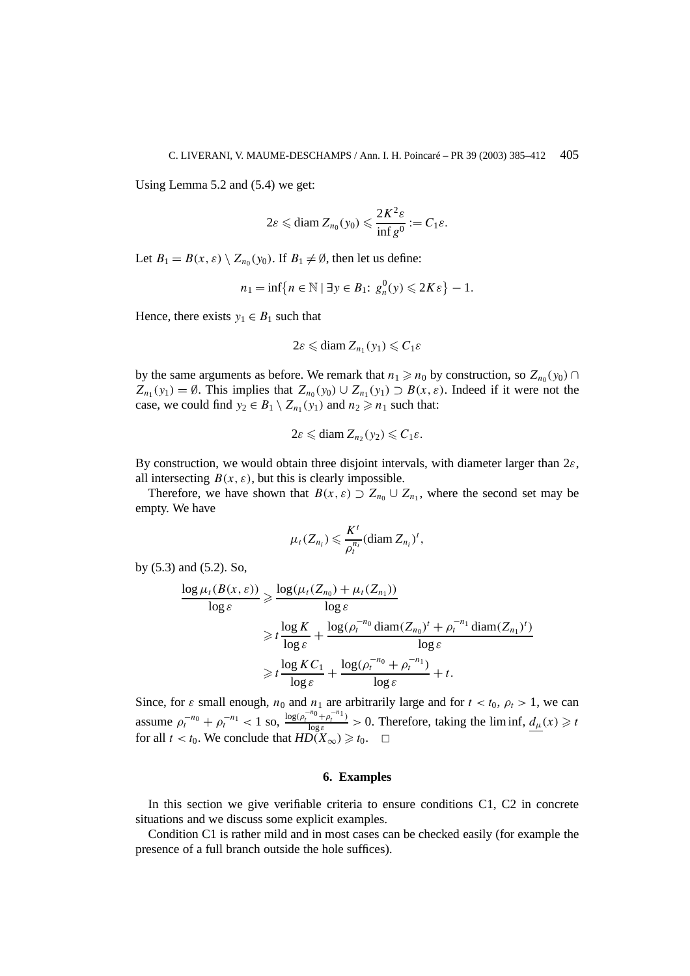Using Lemma 5.2 and (5.4) we get:

$$
2\varepsilon \leqslant \text{diam } Z_{n_0}(y_0) \leqslant \frac{2K^2\varepsilon}{\inf g^0} := C_1\varepsilon.
$$

Let  $B_1 = B(x, \varepsilon) \setminus Z_{n_0}(y_0)$ . If  $B_1 \neq \emptyset$ , then let us define:

$$
n_1 = \inf\{n \in \mathbb{N} \mid \exists y \in B_1 : g_n^0(y) \leq 2K\varepsilon\} - 1.
$$

Hence, there exists  $y_1 \in B_1$  such that

$$
2\varepsilon \leqslant \text{diam } Z_{n_1}(y_1) \leqslant C_1\varepsilon
$$

by the same arguments as before. We remark that  $n_1 \ge n_0$  by construction, so  $Z_{n_0}(y_0) \cap$  $Z_{n_1}(y_1) = \emptyset$ . This implies that  $Z_{n_0}(y_0) \cup Z_{n_1}(y_1) \supset B(x, \varepsilon)$ . Indeed if it were not the case, we could find  $y_2 \in B_1 \setminus Z_{n_1}(y_1)$  and  $n_2 \ge n_1$  such that:

$$
2\varepsilon \leqslant \text{diam } Z_{n_2}(y_2) \leqslant C_1\varepsilon.
$$

By construction, we would obtain three disjoint intervals, with diameter larger than 2*ε*, all intersecting  $B(x, \varepsilon)$ , but this is clearly impossible.

Therefore, we have shown that  $B(x, \varepsilon) \supset Z_{n_0} \cup Z_{n_1}$ , where the second set may be empty. We have

$$
\mu_t(Z_{n_i}) \leqslant \frac{K^t}{\rho_t^{n_i}} (\text{diam } Z_{n_i})^t,
$$

by (5.3) and (5.2). So,

$$
\frac{\log \mu_t(B(x,\varepsilon))}{\log \varepsilon} \geq \frac{\log (\mu_t(Z_{n_0}) + \mu_t(Z_{n_1}))}{\log \varepsilon}
$$
  

$$
\geq t \frac{\log K}{\log \varepsilon} + \frac{\log (\rho_t^{-n_0} \operatorname{diam}(Z_{n_0})^t + \rho_t^{-n_1} \operatorname{diam}(Z_{n_1})^t)}{\log \varepsilon}
$$
  

$$
\geq t \frac{\log KC_1}{\log \varepsilon} + \frac{\log (\rho_t^{-n_0} + \rho_t^{-n_1})}{\log \varepsilon} + t.
$$

Since, for  $\varepsilon$  small enough,  $n_0$  and  $n_1$  are arbitrarily large and for  $t < t_0$ ,  $\rho_t > 1$ , we can assume  $\rho_t^{-n_0} + \rho_t^{-n_1} < 1$  so,  $\frac{\log(\rho_t^{-n_0} + \rho_t^{-n_1})}{\log \varepsilon} > 0$ . Therefore, taking the liminf,  $d_{\mu}(x) \ge t$ for all  $t < t_0$ . We conclude that  $HD(X_\infty) \geq t_0$ .  $\Box$ 

# **6. Examples**

In this section we give verifiable criteria to ensure conditions C1, C2 in concrete situations and we discuss some explicit examples.

Condition C1 is rather mild and in most cases can be checked easily (for example the presence of a full branch outside the hole suffices).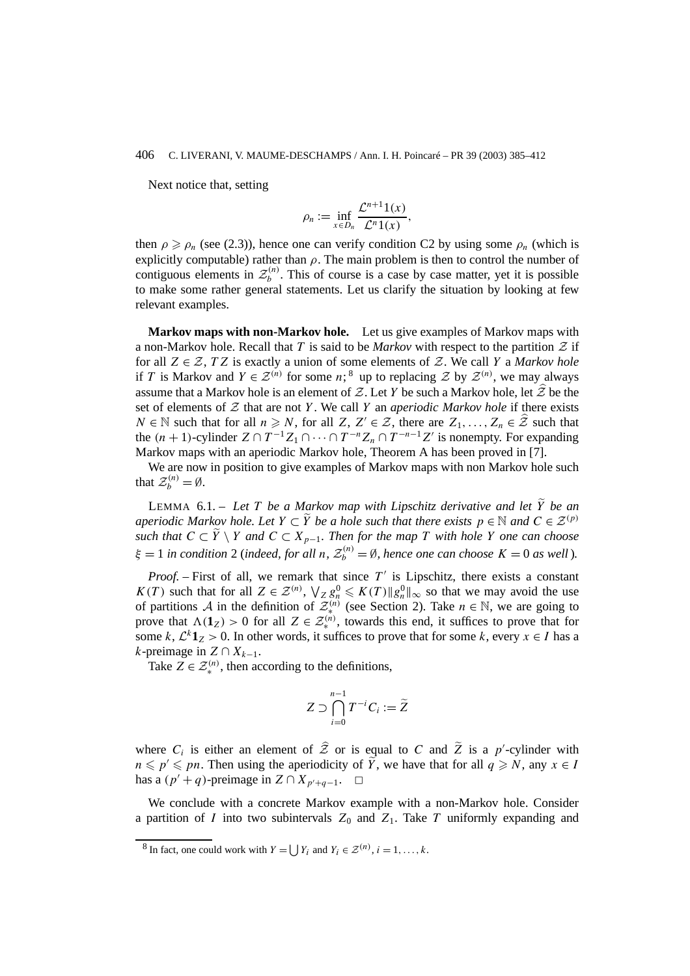Next notice that, setting

$$
\rho_n := \inf_{x \in D_n} \frac{\mathcal{L}^{n+1}(x)}{\mathcal{L}^n(1)}.
$$

then  $\rho \ge \rho_n$  (see (2.3)), hence one can verify condition C2 by using some  $\rho_n$  (which is explicitly computable) rather than  $\rho$ . The main problem is then to control the number of contiguous elements in  $\mathcal{Z}_b^{(n)}$ . This of course is a case by case matter, yet it is possible to make some rather general statements. Let us clarify the situation by looking at few relevant examples.

**Markov maps with non-Markov hole.** Let us give examples of Markov maps with a non-Markov hole. Recall that *T* is said to be *Markov* with respect to the partition  $\mathcal Z$  if for all  $Z \in \mathcal{Z}$ , *TZ* is exactly a union of some elements of  $\mathcal{Z}$ . We call *Y* a *Markov hole* if *T* is Markov and  $Y \in \mathcal{Z}^{(n)}$  for some *n*;<sup>8</sup> up to replacing  $\mathcal{Z}$  by  $\mathcal{Z}^{(n)}$ , we may always assume that a Markov hole is an element of Z. Let Y be such a Markov hole, let  $\hat{Z}$  be the set of elements of  $Z$  that are not  $Y$ . We call  $Y$  an *aperiodic Markov hole* if there exists *N* ∈ N such that for all *n*  $\geq N$ , for all *Z*, *Z'* ∈ *Z*, there are *Z*<sub>1</sub>,..., *Z<sub>n</sub>* ∈  $\hat{Z}$  such that the  $(n + 1)$ -cylinder  $Z \cap T^{-1}Z_1 \cap \cdots \cap T^{-n}Z_n \cap T^{-n-1}Z'$  is nonempty. For expanding Markov maps with an aperiodic Markov hole, Theorem A has been proved in [7].

We are now in position to give examples of Markov maps with non Markov hole such that  $\mathcal{Z}_b^{(n)} = \emptyset$ .

LEMMA 6.1. – Let *T* be a Markov map with Lipschitz derivative and let  $\tilde{Y}$  be an *aperiodic Markov hole. Let*  $Y \subset \widetilde{Y}$  *be a hole such that there exists*  $p \in \mathbb{N}$  *and*  $C \in \mathcal{Z}^{(p)}$ *such that*  $C ⊂ \widetilde{Y} \setminus Y$  *and*  $C ⊂ X_{p-1}$ *. Then for the map T with hole Y one can choose*  $\xi = 1$  *in condition* 2 (*indeed, for all n*,  $\mathcal{Z}_b^{(n)} = \emptyset$ , *hence one can choose*  $K = 0$  *as well*).

*Proof.* – First of all, we remark that since  $T'$  is Lipschitz, there exists a constant *K(T)* such that for all  $Z \in \mathcal{Z}^{(n)}$ ,  $\bigvee_{Z} g_n^0 \leq K(T) \|g_n^0\|_{\infty}$  so that we may avoid the use of partitions A in the definition of  $\mathcal{Z}^{(n)}_{\infty}$  (see Section 2). Take  $n \in \mathbb{N}$ , we are going to prove that  $\Lambda(1_Z) > 0$  for all  $Z \in \mathcal{Z}_{*}^{(n)}$ , towards this end, it suffices to prove that for some  $k$ ,  $\mathcal{L}^k \mathbf{1}_Z > 0$ . In other words, it suffices to prove that for some  $k$ , every  $x \in I$  has a *k*-preimage in  $Z ∩ X_{k-1}$ .

Take  $Z \in \mathcal{Z}_{*}^{(n)}$ , then according to the definitions,

$$
Z \supset \bigcap_{i=0}^{n-1} T^{-i} C_i := \widetilde{Z}
$$

where  $C_i$  is either an element of  $\hat{Z}$  or is equal to *C* and  $\tilde{Z}$  is a *p*'-cylinder with  $n \leq p' \leq pn$ . Then using the aperiodicity of  $\widetilde{Y}$ , we have that for all  $q \geq N$ , any  $x \in I$ has a  $(p' + q)$ -preimage in  $Z \cap X_{p'+q-1}$ .  $\Box$ 

We conclude with a concrete Markov example with a non-Markov hole. Consider a partition of *I* into two subintervals  $Z_0$  and  $Z_1$ . Take *T* uniformly expanding and

<sup>&</sup>lt;sup>8</sup> In fact, one could work with  $Y = \int Y_i$  and  $Y_i \in \mathcal{Z}^{(n)}$ ,  $i = 1, \ldots, k$ .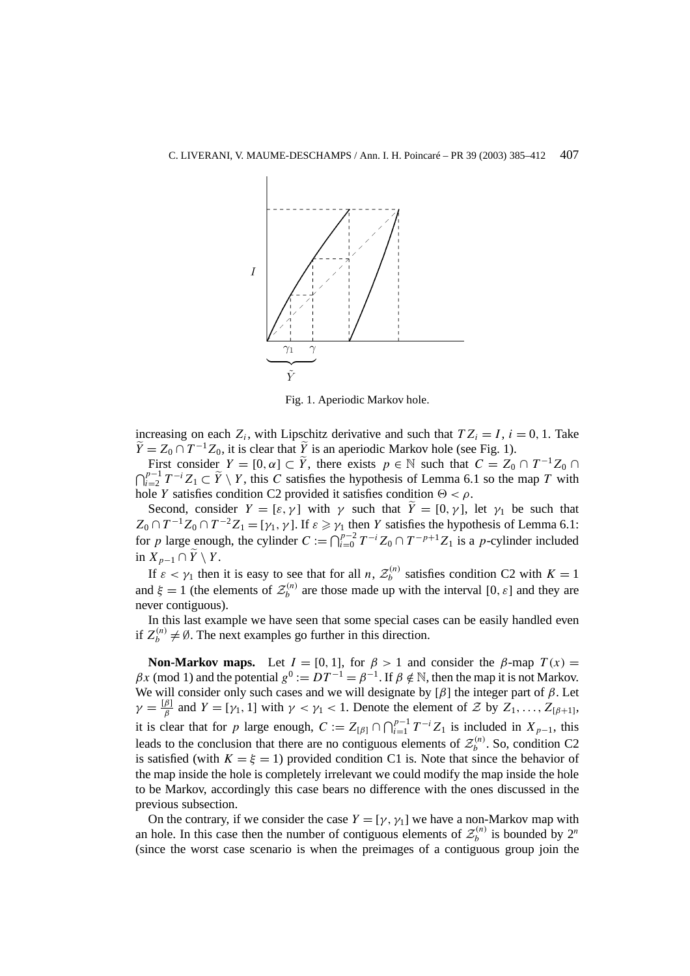

Fig. 1. Aperiodic Markov hole.

increasing on each  $Z_i$ , with Lipschitz derivative and such that  $TZ_i = I$ ,  $i = 0, 1$ . Take  $\widetilde{Y} = Z_0 \cap T^{-1}Z_0$ , it is clear that  $\widetilde{Y}$  is an aperiodic Markov hole (see Fig. 1).

First consider  $Y = [0, \alpha] \subset \tilde{Y}$ , there exists  $p \in \mathbb{N}$  such that  $C = Z_0 \cap T^{-1}Z_0 \cap T^{-1}Z_0$  $\bigcap_{i=2}^{p-1} T^{-i} Z_1 \subset \widetilde{Y} \setminus Y$ , this *C* satisfies the hypothesis of Lemma 6.1 so the map *T* with hole *Y* satisfies condition C2 provided it satisfies condition  $\Theta < \rho$ .

Second, consider  $Y = [\varepsilon, \gamma]$  with  $\gamma$  such that  $\widetilde{Y} = [0, \gamma]$ , let  $\gamma_1$  be such that  $Z_0 \cap T^{-1}Z_0 \cap T^{-2}Z_1 = [\gamma_1, \gamma]$ . If  $\varepsilon \geq \gamma_1$  then *Y* satisfies the hypothesis of Lemma 6.1: for *p* large enough, the cylinder  $C := \bigcap_{i=0}^{p-2} T^{-i} Z_0 \cap T^{-p+1} Z_1$  is a *p*-cylinder included in  $X_{p-1}$  ∩  $\widetilde{Y}$  \  $Y$ .

If  $\varepsilon < \gamma_1$  then it is easy to see that for all *n*,  $\mathcal{Z}_b^{(n)}$  satisfies condition C2 with  $K = 1$ and  $\xi = 1$  (the elements of  $\mathcal{Z}_b^{(n)}$  are those made up with the interval [0,  $\varepsilon$ ] and they are never contiguous).

In this last example we have seen that some special cases can be easily handled even if  $Z_b^{(n)} \neq \emptyset$ . The next examples go further in this direction.

**Non-Markov maps.** Let  $I = [0, 1]$ , for  $\beta > 1$  and consider the  $\beta$ -map  $T(x) =$  $\beta x \pmod{1}$  and the potential  $g^0 := DT^{-1} = \beta^{-1}$ . If  $\beta \notin \mathbb{N}$ , then the map it is not Markov. We will consider only such cases and we will designate by [*β*] the integer part of *β*. Let  $\gamma = \frac{[\beta]}{\beta}$  and  $Y = [\gamma_1, 1]$  with  $\gamma < \gamma_1 < 1$ . Denote the element of  $Z$  by  $Z_1, \ldots, Z_{[\beta+1]},$ it is clear that for *p* large enough,  $C := Z_{\lceil \beta \rceil} \cap \bigcap_{i=1}^{p-1} T^{-i} Z_1$  is included in  $X_{p-1}$ , this leads to the conclusion that there are no contiguous elements of  $\mathcal{Z}_b^{(n)}$ . So, condition C2 is satisfied (with  $K = \xi = 1$ ) provided condition C1 is. Note that since the behavior of the map inside the hole is completely irrelevant we could modify the map inside the hole to be Markov, accordingly this case bears no difference with the ones discussed in the previous subsection.

On the contrary, if we consider the case  $Y = [\gamma, \gamma]$  we have a non-Markov map with an hole. In this case then the number of contiguous elements of  $\mathcal{Z}_b^{(n)}$  is bounded by  $2^n$ (since the worst case scenario is when the preimages of a contiguous group join the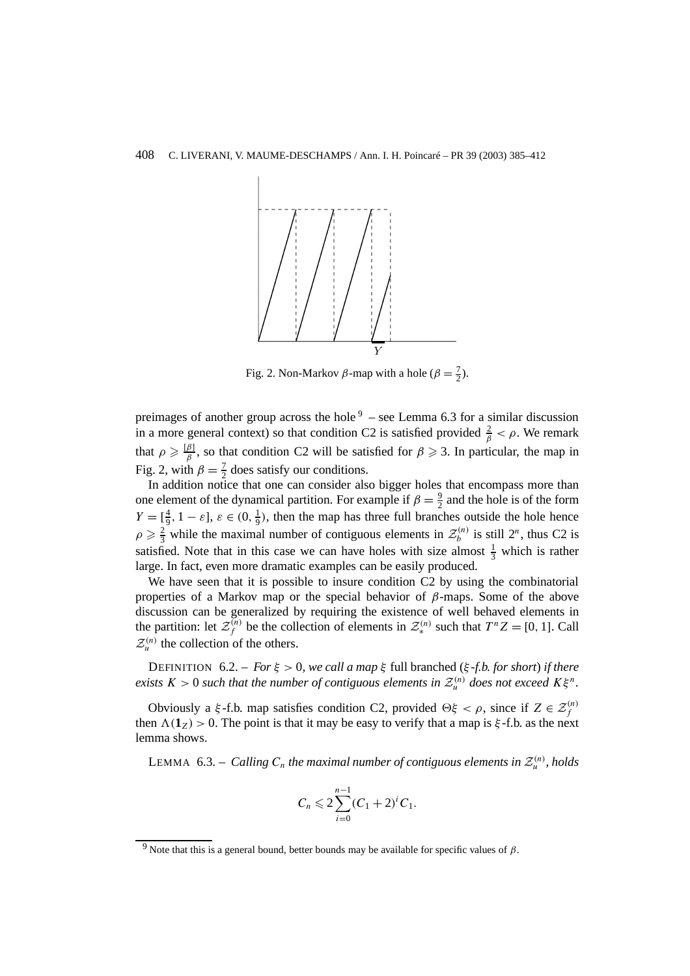

Fig. 2. Non-Markov  $\beta$ -map with a hole ( $\beta = \frac{7}{2}$ ).

preimages of another group across the hole  $9 -$  see Lemma 6.3 for a similar discussion in a more general context) so that condition C2 is satisfied provided  $\frac{2}{\beta} < \rho$ . We remark that  $\rho \geqslant \frac{[\beta]}{\beta}$ , so that condition C2 will be satisfied for  $\beta \geqslant 3$ . In particular, the map in Fig. 2, with  $\beta = \frac{7}{2}$  does satisfy our conditions.

In addition notice that one can consider also bigger holes that encompass more than one element of the dynamical partition. For example if  $\beta = \frac{9}{2}$  and the hole is of the form  $Y = \left[\frac{4}{9}, 1 - \varepsilon\right], \, \varepsilon \in (0, \frac{1}{9})$ , then the map has three full branches outside the hole hence  $\rho \geq \frac{2}{3}$  while the maximal number of contiguous elements in  $\mathcal{Z}_b^{(n)}$  is still  $2^n$ , thus C2 is satisfied. Note that in this case we can have holes with size almost  $\frac{1}{3}$  which is rather large. In fact, even more dramatic examples can be easily produced.

We have seen that it is possible to insure condition C<sub>2</sub> by using the combinatorial properties of a Markov map or the special behavior of *β*-maps. Some of the above discussion can be generalized by requiring the existence of well behaved elements in the partition: let  $\mathcal{Z}_f^{(n)}$  be the collection of elements in  $\mathcal{Z}_*^{(n)}$  such that  $T^n Z = [0, 1]$ . Call  $\mathcal{Z}_u^{(n)}$  the collection of the others.

DEFINITION 6.2. – *For ξ >* 0*, we call a map ξ* full branched (*ξ -f.b. for short*) *if there exists*  $K > 0$  *such that the number of contiguous elements in*  $\mathcal{Z}_u^{(n)}$  *does not exceed*  $K\xi^n$ *.* 

Obviously a *ξ*-f.b. map satisfies condition C2, provided  $\Theta \xi < \rho$ , since if  $Z \in \mathcal{Z}_f^{(n)}$ then  $\Lambda(1_Z) > 0$ . The point is that it may be easy to verify that a map is  $\xi$ -f.b. as the next lemma shows.

LEMMA  $6.3. - Calling C<sub>n</sub>$  *the maximal number of contiguous elements in*  $\mathcal{Z}_{u}^{(n)}$ *, holds* 

$$
C_n \leqslant 2\sum_{i=0}^{n-1} (C_1 + 2)^i C_1.
$$

<sup>&</sup>lt;sup>9</sup> Note that this is a general bound, better bounds may be available for specific values of  $β$ .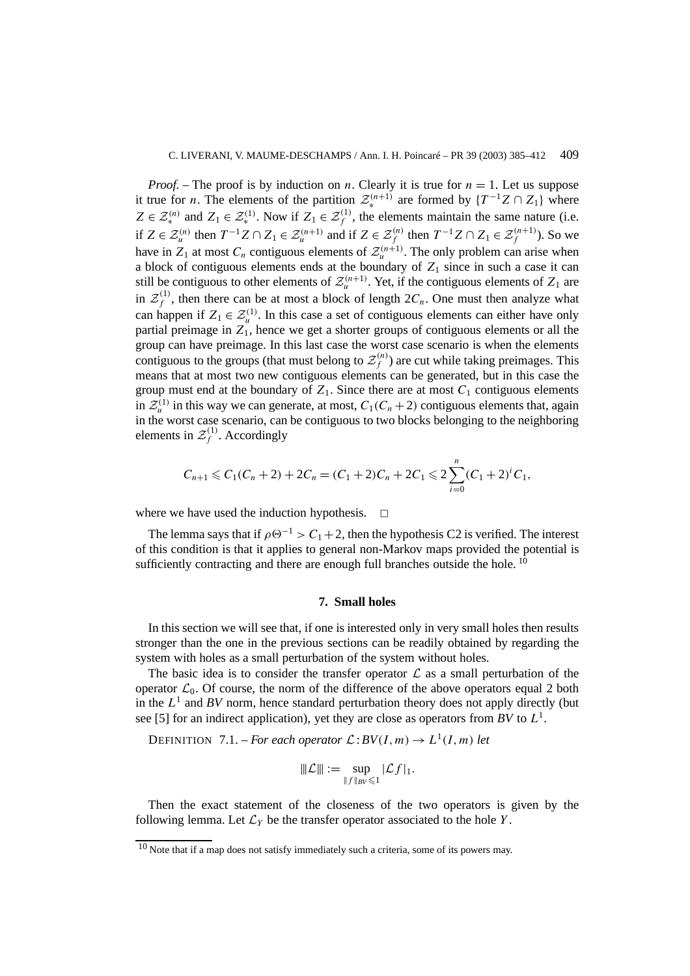*Proof.* – The proof is by induction on *n*. Clearly it is true for  $n = 1$ . Let us suppose it true for *n*. The elements of the partition  $\mathcal{Z}_{*}^{(n+1)}$  are formed by  $\{T^{-1}Z \cap Z_1\}$  where *Z* ∈  $\mathcal{Z}_{*}^{(n)}$  and *Z*<sub>1</sub> ∈  $\mathcal{Z}_{*}^{(1)}$ . Now if *Z*<sub>1</sub> ∈  $\mathcal{Z}_{f}^{(1)}$ , the elements maintain the same nature (i.e. if *Z* ∈  $\mathcal{Z}_u^{(n)}$  then  $T^{-1}Z \cap Z_1$  ∈  $\mathcal{Z}_u^{(n+1)}$  and if  $Z$  ∈  $\mathcal{Z}_f^{(n)}$  then  $T^{-1}Z \cap Z_1$  ∈  $\mathcal{Z}_f^{(n+1)}$ ). So we have in  $Z_1$  at most  $C_n$  contiguous elements of  $\mathcal{Z}_u^{(n+1)}$ . The only problem can arise when a block of contiguous elements ends at the boundary of  $Z_1$  since in such a case it can still be contiguous to other elements of  $\mathcal{Z}_u^{(n+1)}$ . Yet, if the contiguous elements of  $Z_1$  are in  $\mathcal{Z}_f^{(1)}$ , then there can be at most a block of length  $2C_n$ . One must then analyze what can happen if  $Z_1 \in \mathcal{Z}_u^{(1)}$ . In this case a set of contiguous elements can either have only partial preimage in  $Z_1$ , hence we get a shorter groups of contiguous elements or all the group can have preimage. In this last case the worst case scenario is when the elements contiguous to the groups (that must belong to  $\mathcal{Z}_f^{(n)}$ ) are cut while taking preimages. This means that at most two new contiguous elements can be generated, but in this case the group must end at the boundary of  $Z_1$ . Since there are at most  $C_1$  contiguous elements in  $\mathcal{Z}_{\mu}^{(1)}$  in this way we can generate, at most,  $C_1(C_n + 2)$  contiguous elements that, again in the worst case scenario, can be contiguous to two blocks belonging to the neighboring elements in  $\mathcal{Z}_f^{(1)}$ . Accordingly

$$
C_{n+1} \leq C_1(C_n+2) + 2C_n = (C_1+2)C_n + 2C_1 \leq 2\sum_{i=0}^n (C_1+2)^i C_1,
$$

where we have used the induction hypothesis.  $\Box$ 

The lemma says that if  $\rho \Theta^{-1} > C_1 + 2$ , then the hypothesis C2 is verified. The interest of this condition is that it applies to general non-Markov maps provided the potential is sufficiently contracting and there are enough full branches outside the hole.  $10$ 

# **7. Small holes**

In this section we will see that, if one is interested only in very small holes then results stronger than the one in the previous sections can be readily obtained by regarding the system with holes as a small perturbation of the system without holes.

The basic idea is to consider the transfer operator  $\mathcal L$  as a small perturbation of the operator  $\mathcal{L}_0$ . Of course, the norm of the difference of the above operators equal 2 both in the  $L^1$  and  $BV$  norm, hence standard perturbation theory does not apply directly (but see [5] for an indirect application), yet they are close as operators from *BV* to  $L^1$ .

DEFINITION 7.1. – *For each operator*  $\mathcal{L}:BV(I,m) \to L^1(I,m)$  *let* 

$$
\|\mathcal{L}\| := \sup_{\|f\|_{BV} \leq 1} |\mathcal{L}f|_1.
$$

Then the exact statement of the closeness of the two operators is given by the following lemma. Let  $\mathcal{L}_Y$  be the transfer operator associated to the hole *Y*.

 $10$  Note that if a map does not satisfy immediately such a criteria, some of its powers may.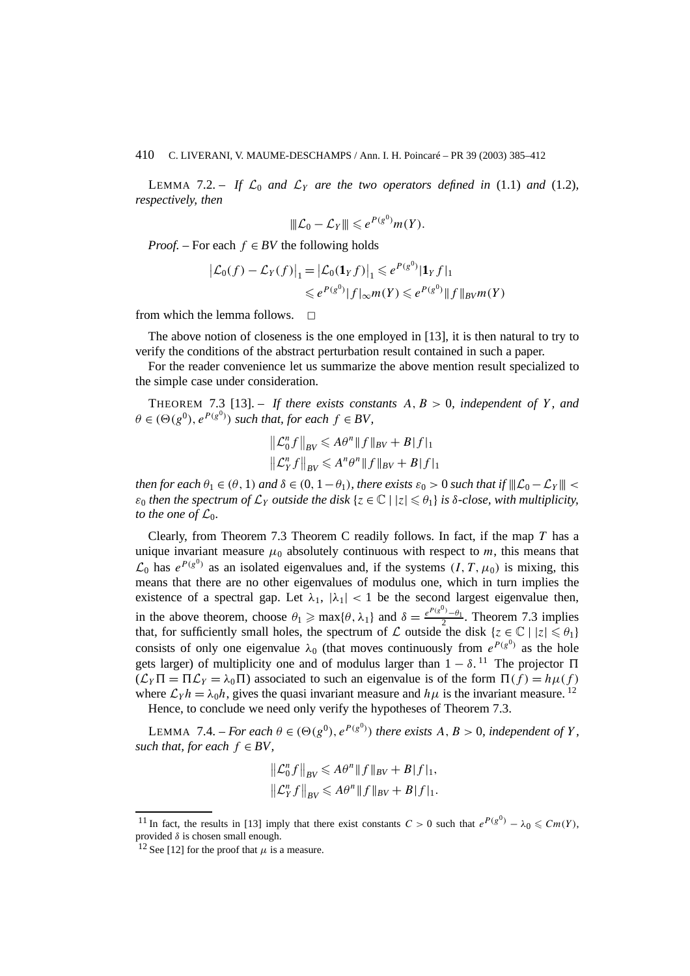LEMMA 7.2. – If  $\mathcal{L}_0$  and  $\mathcal{L}_Y$  are the two operators defined in (1.1) and (1.2), *respectively, then*

$$
\|\mathcal{L}_0-\mathcal{L}_Y\|\leqslant e^{P(g^0)}m(Y).
$$

*Proof.* – For each  $f \in BV$  the following holds

$$
\begin{aligned} \left| \mathcal{L}_0(f) - \mathcal{L}_Y(f) \right|_1 &= \left| \mathcal{L}_0(\mathbf{1}_Y f) \right|_1 \leqslant e^{P(g^0)} |\mathbf{1}_Y f|_1 \\ &\leqslant e^{P(g^0)} |f|_{\infty} m(Y) \leqslant e^{P(g^0)} \|f\|_{BV} m(Y) \end{aligned}
$$

from which the lemma follows.  $\Box$ 

The above notion of closeness is the one employed in [13], it is then natural to try to verify the conditions of the abstract perturbation result contained in such a paper.

For the reader convenience let us summarize the above mention result specialized to the simple case under consideration.

THEOREM 7.3 [13]. – If there exists constants  $A, B > 0$ , independent of Y, and  $\theta \in (\Theta(g^0), e^{P(g^0)})$  *such that, for each*  $f \in BV$ ,

$$
\|\mathcal{L}_0^n f\|_{BV} \leqslant A\theta^n \|f\|_{BV} + B|f|_1
$$
  

$$
\|\mathcal{L}_Y^n f\|_{BV} \leqslant A^n \theta^n \|f\|_{BV} + B|f|_1
$$

*then for each*  $\theta_1 \in (\theta, 1)$  *and*  $\delta \in (0, 1 - \theta_1)$ *, there exists*  $\varepsilon_0 > 0$  *such that if*  $||L_0 - L_Y|| <$  $\varepsilon_0$  *then the spectrum of*  $\mathcal{L}_Y$  *outside the disk*  $\{z \in \mathbb{C} \mid |z| \le \theta_1\}$  *is δ-close, with multiplicity, to the one of*  $\mathcal{L}_0$ *.* 

Clearly, from Theorem 7.3 Theorem C readily follows. In fact, if the map *T* has a unique invariant measure  $\mu_0$  absolutely continuous with respect to *m*, this means that  $\mathcal{L}_0$  has  $e^{P(g^0)}$  as an isolated eigenvalues and, if the systems  $(I, T, \mu_0)$  is mixing, this means that there are no other eigenvalues of modulus one, which in turn implies the existence of a spectral gap. Let  $\lambda_1$ ,  $|\lambda_1|$  < 1 be the second largest eigenvalue then, in the above theorem, choose  $\theta_1 \ge \max{\lbrace \theta, \lambda_1 \rbrace}$  and  $\delta = \frac{e^{P(g^0)} - \theta_1}{2}$ . Theorem 7.3 implies that, for sufficiently small holes, the spectrum of L outside the disk  $\{z \in \mathbb{C} \mid |z| \leq \theta_1\}$ consists of only one eigenvalue  $\lambda_0$  (that moves continuously from  $e^{P(g^0)}$  as the hole gets larger) of multiplicity one and of modulus larger than  $1 - \delta$ . <sup>11</sup> The projector  $\Pi$  $(\mathcal{L}_Y \Pi = \Pi \mathcal{L}_Y = \lambda_0 \Pi)$  associated to such an eigenvalue is of the form  $\Pi(f) = h\mu(f)$ where  $\mathcal{L}_Y h = \lambda_0 h$ , gives the quasi invariant measure and  $h\mu$  is the invariant measure. <sup>12</sup>

Hence, to conclude we need only verify the hypotheses of Theorem 7.3.

LEMMA 7.4. – *For each*  $\theta \in (\Theta(g^0), e^{P(g^0)})$  *there exists*  $A, B > 0$ *, independent of*  $Y$ *, such that, for each*  $f \in BV$ ,

$$
\begin{aligned}\n\|\mathcal{L}_0^n f\|_{BV} &\leq A\theta^n \|f\|_{BV} + B|f|_1, \\
\|\mathcal{L}_Y^n f\|_{BV} &\leq A\theta^n \|f\|_{BV} + B|f|_1.\n\end{aligned}
$$

<sup>&</sup>lt;sup>11</sup> In fact, the results in [13] imply that there exist constants  $C > 0$  such that  $e^{P(g^0)} - \lambda_0 \leq Cm(Y)$ , provided *δ* is chosen small enough.

<sup>&</sup>lt;sup>12</sup> See [12] for the proof that  $\mu$  is a measure.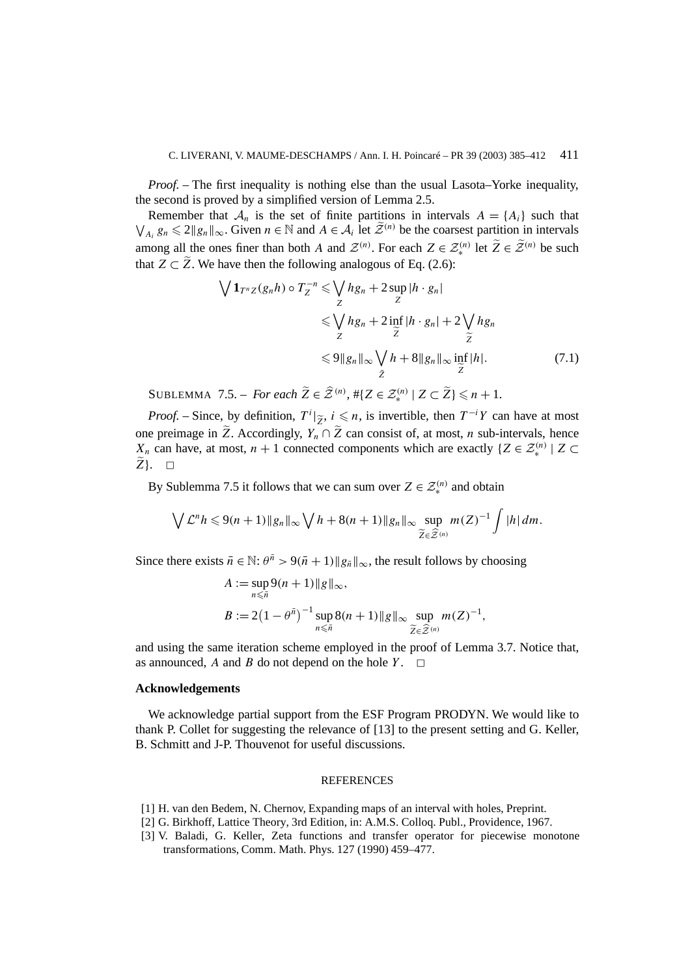*Proof.* – The first inequality is nothing else than the usual Lasota–Yorke inequality, the second is proved by a simplified version of Lemma 2.5.

Remember that  $A_n$  is the set of finite partitions in intervals  $A = \{A_i\}$  such that  $\bigvee_{A_i} g_n \leq 2 \|g_n\|_{\infty}$ . Given  $n \in \mathbb{N}$  and  $A \in \mathcal{A}_i$  let  $\widetilde{\mathcal{Z}}^{(n)}$  be the coarsest partition in intervals among all the ones finer than both *A* and  $\mathcal{Z}^{(n)}$ . For each  $Z \in \mathcal{Z}_{*}^{(n)}$  let  $\widetilde{Z} \in \widetilde{\mathcal{Z}}^{(n)}$  be such that  $Z \subset \tilde{Z}$ . We have then the following analogous of Eq. (2.6):

$$
\sqrt{1_{T^{n}Z}(g_{n}h)} \circ T_{Z}^{-n} \leq \sqrt{h g_{n} + 2 \sup_{Z} |h \cdot g_{n}|}
$$
  
\n
$$
\leq \sqrt{h g_{n} + 2 \inf_{Z} |h \cdot g_{n}| + 2 \sqrt{h g_{n}}}
$$
  
\n
$$
\leq 9 \|g_{n}\|_{\infty} \sqrt{h + 8 \|g_{n}\|_{\infty}} \inf_{Z} |h|.
$$
 (7.1)

SUBLEMMA 7.5. – *For each*  $\widetilde{Z} \in \widehat{Z}^{(n)}$ ,  $\# \{ Z \in \mathcal{Z}_{\ast}^{(n)} \mid Z \subset \widetilde{Z} \} \leq n+1$ .

*Proof.* – Since, by definition,  $T^i|_{\widetilde{Z}}$ ,  $i \leq n$ , is invertible, then  $T^{-i}Y$  can have at most one preimage in  $\widetilde{Z}$ . Accordingly,  $Y_n \cap \widetilde{Z}$  can consist of, at most, *n* sub-intervals, hence *X<sub>n</sub>* can have, at most, *n* + 1 connected components which are exactly { $Z \in \mathcal{Z}_{*}^{(n)} | Z \subset \mathcal{Z}_{*}^{(n)}$ *Z*}. □

By Sublemma 7.5 it follows that we can sum over  $Z \in \mathcal{Z}_{*}^{(n)}$  and obtain

$$
\bigvee \mathcal{L}^n h \leqslant 9(n+1) \|g_n\|_{\infty} \bigvee h + 8(n+1) \|g_n\|_{\infty} \sup_{\widetilde{Z} \in \widehat{\mathcal{Z}}^{(n)}} m(Z)^{-1} \int |h| \, dm.
$$

Since there exists  $\bar{n} \in \mathbb{N}$ :  $\theta^{\bar{n}} > 9(\bar{n} + 1) \|g_{\bar{n}}\|_{\infty}$ , the result follows by choosing

$$
A := \sup_{n \leq \bar{n}} 9(n+1) \|g\|_{\infty},
$$
  
\n
$$
B := 2(1 - \theta^{\bar{n}})^{-1} \sup_{n \leq \bar{n}} 8(n+1) \|g\|_{\infty} \sup_{\widetilde{Z} \in \widehat{\mathcal{Z}}^{(n)}} m(Z)^{-1},
$$

and using the same iteration scheme employed in the proof of Lemma 3.7. Notice that, as announced,  $A$  and  $B$  do not depend on the hole  $Y$ .

## **Acknowledgements**

We acknowledge partial support from the ESF Program PRODYN. We would like to thank P. Collet for suggesting the relevance of [13] to the present setting and G. Keller, B. Schmitt and J-P. Thouvenot for useful discussions.

#### **REFERENCES**

- [1] H. van den Bedem, N. Chernov, Expanding maps of an interval with holes, Preprint.
- [2] G. Birkhoff, Lattice Theory, 3rd Edition, in: A.M.S. Colloq. Publ., Providence, 1967.
- [3] V. Baladi, G. Keller, Zeta functions and transfer operator for piecewise monotone transformations, Comm. Math. Phys. 127 (1990) 459–477.